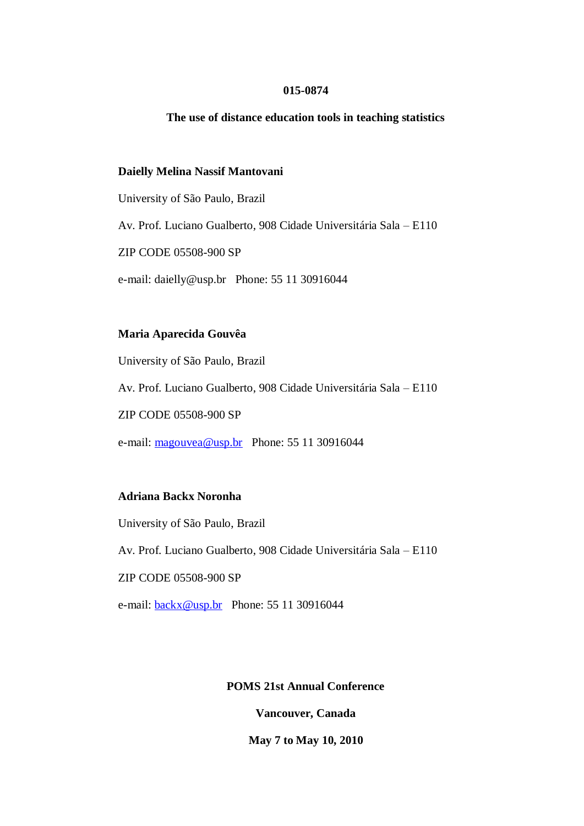### **015-0874**

### **The use of distance education tools in teaching statistics**

### **Daielly Melina Nassif Mantovani**

University of São Paulo, Brazil

Av. Prof. Luciano Gualberto, 908 Cidade Universitária Sala – E110

ZIP CODE 05508-900 SP

e-mail: daielly@usp.br Phone: 55 11 30916044

### **Maria Aparecida Gouvêa**

University of São Paulo, Brazil

Av. Prof. Luciano Gualberto, 908 Cidade Universitária Sala – E110

ZIP CODE 05508-900 SP

e-mail: [magouvea@usp.br](mailto:magouvea@usp.br) Phone: 55 11 30916044

### **Adriana Backx Noronha**

University of São Paulo, Brazil

Av. Prof. Luciano Gualberto, 908 Cidade Universitária Sala – E110

# ZIP CODE 05508-900 SP

e-mail: **backx@usp.br** Phone: 55 11 30916044

## **POMS 21st Annual Conference**

**Vancouver, Canada**

**May 7 to May 10, 2010**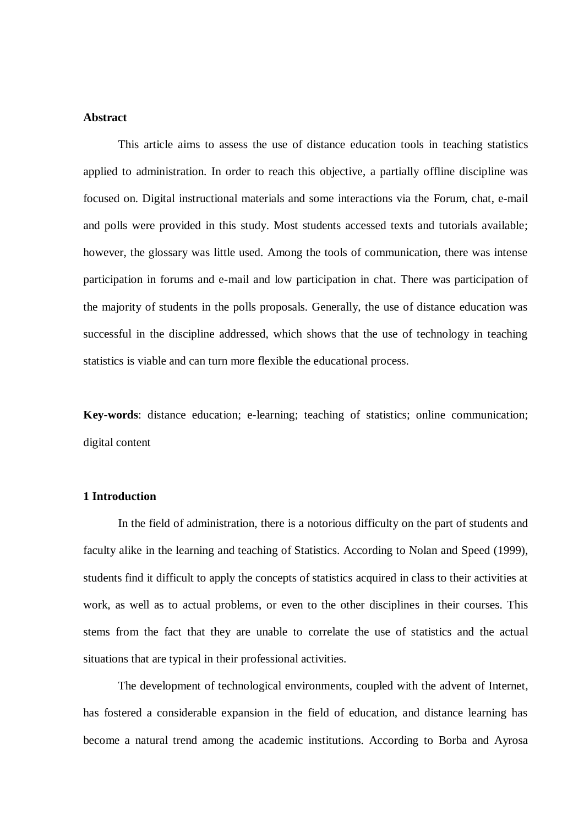# **Abstract**

This article aims to assess the use of distance education tools in teaching statistics applied to administration. In order to reach this objective, a partially offline discipline was focused on. Digital instructional materials and some interactions via the Forum, chat, e-mail and polls were provided in this study. Most students accessed texts and tutorials available; however, the glossary was little used. Among the tools of communication, there was intense participation in forums and e-mail and low participation in chat. There was participation of the majority of students in the polls proposals. Generally, the use of distance education was successful in the discipline addressed, which shows that the use of technology in teaching statistics is viable and can turn more flexible the educational process.

**Key-words**: distance education; e-learning; teaching of statistics; online communication; digital content

### **1 Introduction**

In the field of administration, there is a notorious difficulty on the part of students and faculty alike in the learning and teaching of Statistics. According to Nolan and Speed (1999), students find it difficult to apply the concepts of statistics acquired in class to their activities at work, as well as to actual problems, or even to the other disciplines in their courses. This stems from the fact that they are unable to correlate the use of statistics and the actual situations that are typical in their professional activities.

The development of technological environments, coupled with the advent of Internet, has fostered a considerable expansion in the field of education, and distance learning has become a natural trend among the academic institutions. According to Borba and Ayrosa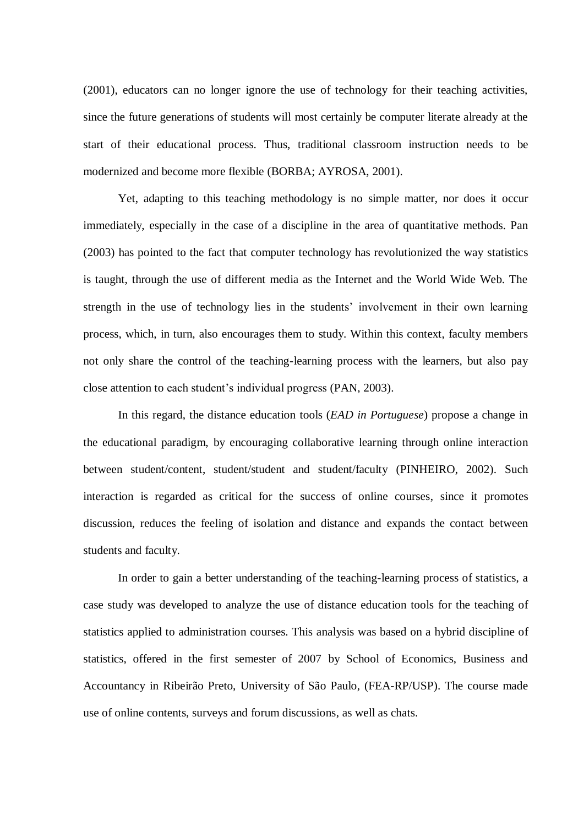(2001), educators can no longer ignore the use of technology for their teaching activities, since the future generations of students will most certainly be computer literate already at the start of their educational process. Thus, traditional classroom instruction needs to be modernized and become more flexible (BORBA; AYROSA, 2001).

Yet, adapting to this teaching methodology is no simple matter, nor does it occur immediately, especially in the case of a discipline in the area of quantitative methods. Pan (2003) has pointed to the fact that computer technology has revolutionized the way statistics is taught, through the use of different media as the Internet and the World Wide Web. The strength in the use of technology lies in the students' involvement in their own learning process, which, in turn, also encourages them to study. Within this context, faculty members not only share the control of the teaching-learning process with the learners, but also pay close attention to each student's individual progress (PAN, 2003).

In this regard, the distance education tools (*EAD in Portuguese*) propose a change in the educational paradigm, by encouraging collaborative learning through online interaction between student/content, student/student and student/faculty (PINHEIRO, 2002). Such interaction is regarded as critical for the success of online courses, since it promotes discussion, reduces the feeling of isolation and distance and expands the contact between students and faculty.

In order to gain a better understanding of the teaching-learning process of statistics, a case study was developed to analyze the use of distance education tools for the teaching of statistics applied to administration courses. This analysis was based on a hybrid discipline of statistics, offered in the first semester of 2007 by School of Economics, Business and Accountancy in Ribeirão Preto, University of São Paulo, (FEA-RP/USP). The course made use of online contents, surveys and forum discussions, as well as chats.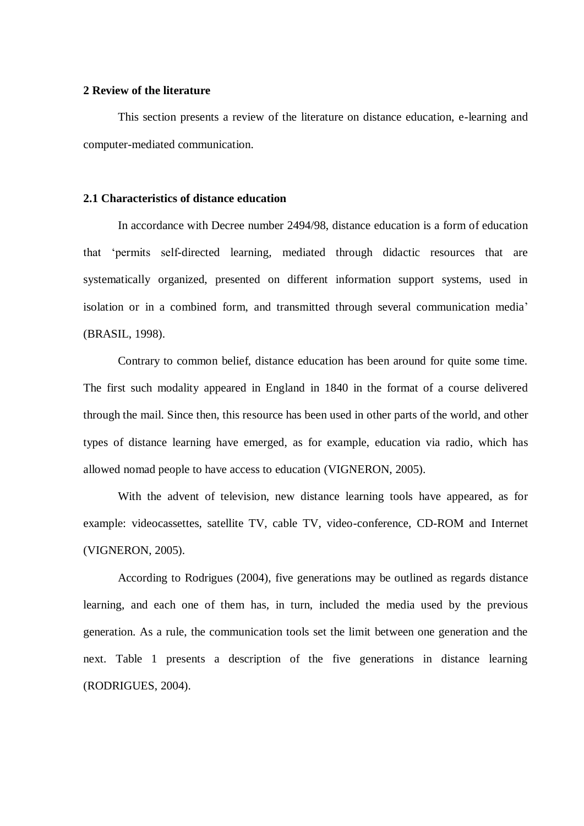### **2 Review of the literature**

This section presents a review of the literature on distance education, e-learning and computer-mediated communication.

# **2.1 Characteristics of distance education**

In accordance with Decree number 2494/98, distance education is a form of education that 'permits self-directed learning, mediated through didactic resources that are systematically organized, presented on different information support systems, used in isolation or in a combined form, and transmitted through several communication media' (BRASIL, 1998).

Contrary to common belief, distance education has been around for quite some time. The first such modality appeared in England in 1840 in the format of a course delivered through the mail. Since then, this resource has been used in other parts of the world, and other types of distance learning have emerged, as for example, education via radio, which has allowed nomad people to have access to education (VIGNERON, 2005).

With the advent of television, new distance learning tools have appeared, as for example: videocassettes, satellite TV, cable TV, video-conference, CD-ROM and Internet (VIGNERON, 2005).

According to Rodrigues (2004), five generations may be outlined as regards distance learning, and each one of them has, in turn, included the media used by the previous generation. As a rule, the communication tools set the limit between one generation and the next. Table 1 presents a description of the five generations in distance learning (RODRIGUES, 2004).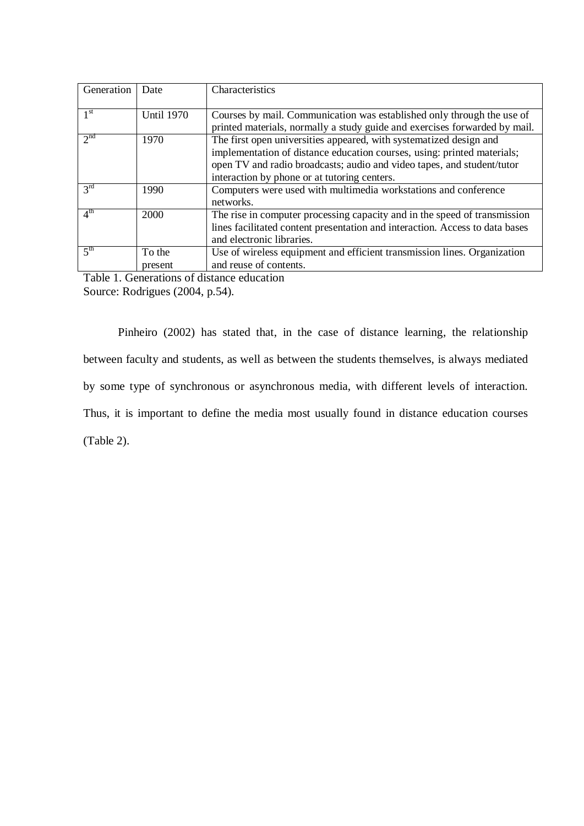| Generation      | Date              | Characteristics                                                              |
|-----------------|-------------------|------------------------------------------------------------------------------|
| 1 <sup>st</sup> | <b>Until 1970</b> | Courses by mail. Communication was established only through the use of       |
|                 |                   | printed materials, normally a study guide and exercises forwarded by mail.   |
| 2 <sup>nd</sup> | 1970              | The first open universities appeared, with systematized design and           |
|                 |                   | implementation of distance education courses, using: printed materials;      |
|                 |                   | open TV and radio broadcasts; audio and video tapes, and student/tutor       |
|                 |                   | interaction by phone or at tutoring centers.                                 |
| $3^{\text{rd}}$ | 1990              | Computers were used with multimedia workstations and conference              |
|                 |                   | networks.                                                                    |
| 4 <sup>th</sup> | 2000              | The rise in computer processing capacity and in the speed of transmission    |
|                 |                   | lines facilitated content presentation and interaction. Access to data bases |
|                 |                   | and electronic libraries.                                                    |
| 5 <sup>th</sup> | To the            | Use of wireless equipment and efficient transmission lines. Organization     |
|                 | present           | and reuse of contents.                                                       |

Table 1. Generations of distance education

Source: Rodrigues (2004, p.54).

Pinheiro (2002) has stated that, in the case of distance learning, the relationship between faculty and students, as well as between the students themselves, is always mediated by some type of synchronous or asynchronous media, with different levels of interaction. Thus, it is important to define the media most usually found in distance education courses (Table 2).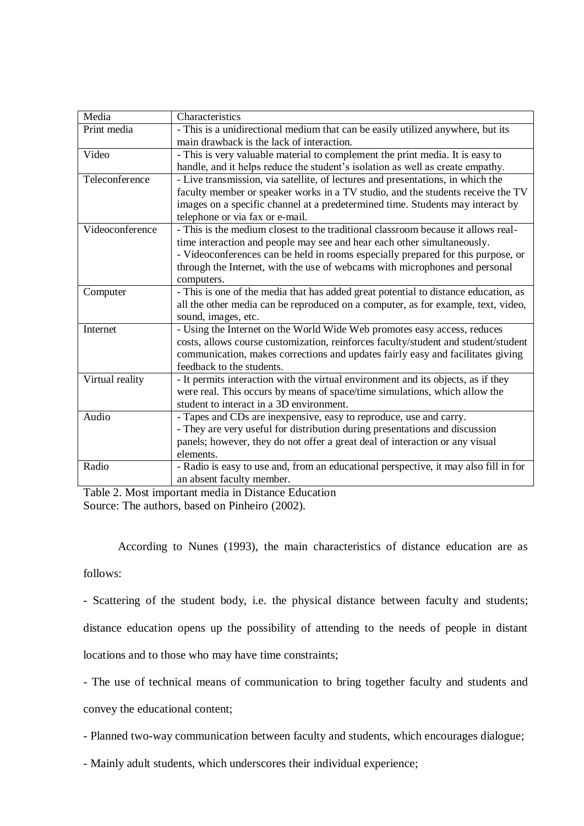| Media           | Characteristics                                                                      |
|-----------------|--------------------------------------------------------------------------------------|
| Print media     | - This is a unidirectional medium that can be easily utilized anywhere, but its      |
|                 | main drawback is the lack of interaction.                                            |
| Video           | - This is very valuable material to complement the print media. It is easy to        |
|                 | handle, and it helps reduce the student's isolation as well as create empathy.       |
| Teleconference  | - Live transmission, via satellite, of lectures and presentations, in which the      |
|                 | faculty member or speaker works in a TV studio, and the students receive the TV      |
|                 | images on a specific channel at a predetermined time. Students may interact by       |
|                 | telephone or via fax or e-mail.                                                      |
| Videoconference | - This is the medium closest to the traditional classroom because it allows real-    |
|                 | time interaction and people may see and hear each other simultaneously.              |
|                 | - Videoconferences can be held in rooms especially prepared for this purpose, or     |
|                 | through the Internet, with the use of webcams with microphones and personal          |
|                 | computers.                                                                           |
| Computer        | - This is one of the media that has added great potential to distance education, as  |
|                 | all the other media can be reproduced on a computer, as for example, text, video,    |
|                 | sound, images, etc.                                                                  |
| Internet        | - Using the Internet on the World Wide Web promotes easy access, reduces             |
|                 | costs, allows course customization, reinforces faculty/student and student/student   |
|                 | communication, makes corrections and updates fairly easy and facilitates giving      |
|                 | feedback to the students.                                                            |
| Virtual reality | - It permits interaction with the virtual environment and its objects, as if they    |
|                 | were real. This occurs by means of space/time simulations, which allow the           |
|                 | student to interact in a 3D environment.                                             |
| Audio           | - Tapes and CDs are inexpensive, easy to reproduce, use and carry.                   |
|                 | - They are very useful for distribution during presentations and discussion          |
|                 | panels; however, they do not offer a great deal of interaction or any visual         |
|                 | elements.                                                                            |
| Radio           | - Radio is easy to use and, from an educational perspective, it may also fill in for |
|                 | an absent faculty member.                                                            |

Table 2. Most important media in Distance Education Source: The authors, based on Pinheiro (2002).

According to Nunes (1993), the main characteristics of distance education are as

follows:

- Scattering of the student body, i.e. the physical distance between faculty and students;

distance education opens up the possibility of attending to the needs of people in distant

locations and to those who may have time constraints;

- The use of technical means of communication to bring together faculty and students and

convey the educational content;

- Planned two-way communication between faculty and students, which encourages dialogue;

- Mainly adult students, which underscores their individual experience;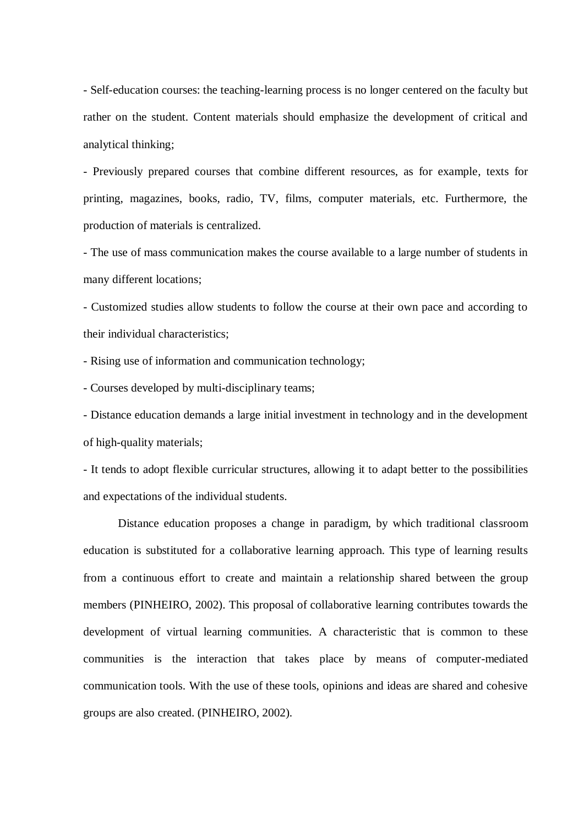- Self-education courses: the teaching-learning process is no longer centered on the faculty but rather on the student. Content materials should emphasize the development of critical and analytical thinking;

- Previously prepared courses that combine different resources, as for example, texts for printing, magazines, books, radio, TV, films, computer materials, etc. Furthermore, the production of materials is centralized.

- The use of mass communication makes the course available to a large number of students in many different locations;

- Customized studies allow students to follow the course at their own pace and according to their individual characteristics;

- Rising use of information and communication technology;

- Courses developed by multi-disciplinary teams;

- Distance education demands a large initial investment in technology and in the development of high-quality materials;

- It tends to adopt flexible curricular structures, allowing it to adapt better to the possibilities and expectations of the individual students.

Distance education proposes a change in paradigm, by which traditional classroom education is substituted for a collaborative learning approach. This type of learning results from a continuous effort to create and maintain a relationship shared between the group members (PINHEIRO, 2002). This proposal of collaborative learning contributes towards the development of virtual learning communities. A characteristic that is common to these communities is the interaction that takes place by means of computer-mediated communication tools. With the use of these tools, opinions and ideas are shared and cohesive groups are also created. (PINHEIRO, 2002).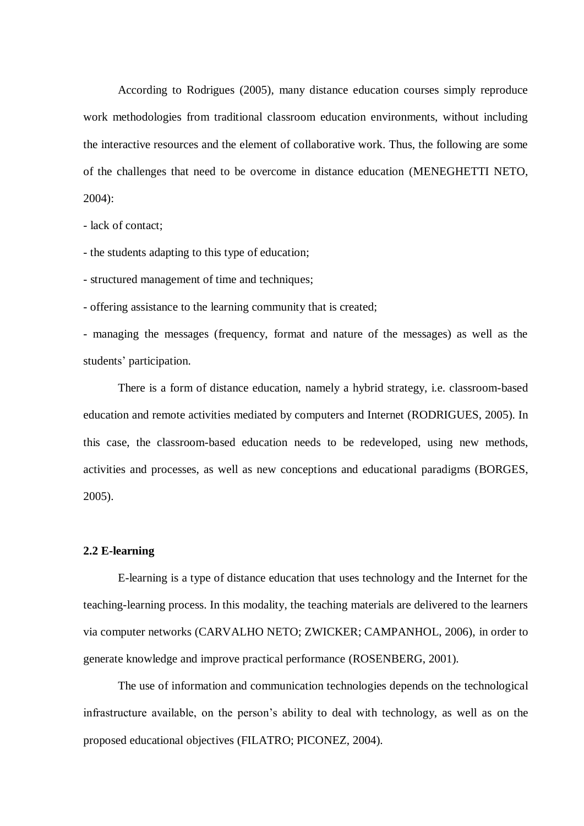According to Rodrigues (2005), many distance education courses simply reproduce work methodologies from traditional classroom education environments, without including the interactive resources and the element of collaborative work. Thus, the following are some of the challenges that need to be overcome in distance education (MENEGHETTI NETO, 2004):

- lack of contact;

- the students adapting to this type of education;

- structured management of time and techniques;

- offering assistance to the learning community that is created;

- managing the messages (frequency, format and nature of the messages) as well as the students' participation.

There is a form of distance education, namely a hybrid strategy, i.e. classroom-based education and remote activities mediated by computers and Internet (RODRIGUES, 2005). In this case, the classroom-based education needs to be redeveloped, using new methods, activities and processes, as well as new conceptions and educational paradigms (BORGES, 2005).

#### **2.2 E-learning**

E-learning is a type of distance education that uses technology and the Internet for the teaching-learning process. In this modality, the teaching materials are delivered to the learners via computer networks (CARVALHO NETO; ZWICKER; CAMPANHOL, 2006), in order to generate knowledge and improve practical performance (ROSENBERG, 2001).

The use of information and communication technologies depends on the technological infrastructure available, on the person's ability to deal with technology, as well as on the proposed educational objectives (FILATRO; PICONEZ, 2004).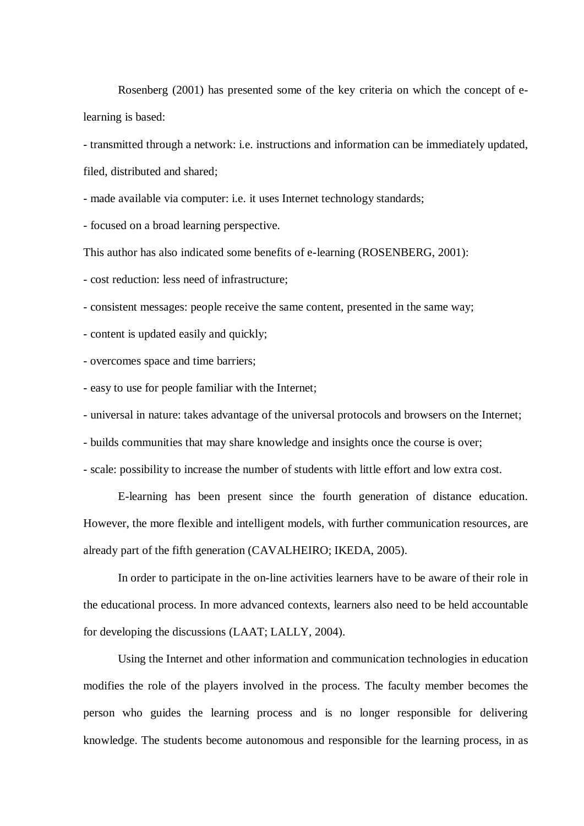Rosenberg (2001) has presented some of the key criteria on which the concept of elearning is based:

- transmitted through a network: i.e. instructions and information can be immediately updated, filed, distributed and shared;

- made available via computer: i.e. it uses Internet technology standards;

- focused on a broad learning perspective.

This author has also indicated some benefits of e-learning (ROSENBERG, 2001):

- cost reduction: less need of infrastructure;

- consistent messages: people receive the same content, presented in the same way;

- content is updated easily and quickly;

- overcomes space and time barriers;

- easy to use for people familiar with the Internet;

- universal in nature: takes advantage of the universal protocols and browsers on the Internet;

- builds communities that may share knowledge and insights once the course is over;

- scale: possibility to increase the number of students with little effort and low extra cost.

E-learning has been present since the fourth generation of distance education. However, the more flexible and intelligent models, with further communication resources, are already part of the fifth generation (CAVALHEIRO; IKEDA, 2005).

In order to participate in the on-line activities learners have to be aware of their role in the educational process. In more advanced contexts, learners also need to be held accountable for developing the discussions (LAAT; LALLY, 2004).

Using the Internet and other information and communication technologies in education modifies the role of the players involved in the process. The faculty member becomes the person who guides the learning process and is no longer responsible for delivering knowledge. The students become autonomous and responsible for the learning process, in as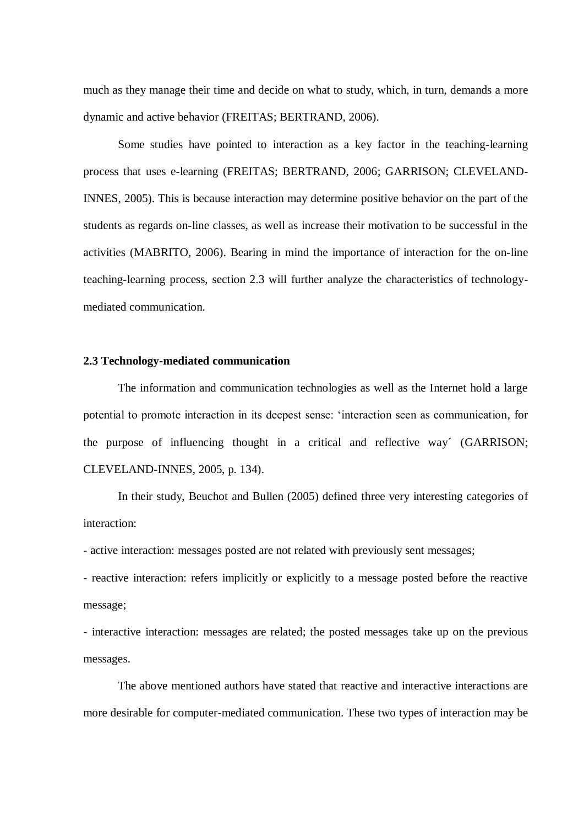much as they manage their time and decide on what to study, which, in turn, demands a more dynamic and active behavior (FREITAS; BERTRAND, 2006).

Some studies have pointed to interaction as a key factor in the teaching-learning process that uses e-learning (FREITAS; BERTRAND, 2006; GARRISON; CLEVELAND-INNES, 2005). This is because interaction may determine positive behavior on the part of the students as regards on-line classes, as well as increase their motivation to be successful in the activities (MABRITO, 2006). Bearing in mind the importance of interaction for the on-line teaching-learning process, section 2.3 will further analyze the characteristics of technologymediated communication.

#### **2.3 Technology-mediated communication**

The information and communication technologies as well as the Internet hold a large potential to promote interaction in its deepest sense: 'interaction seen as communication, for the purpose of influencing thought in a critical and reflective way´ (GARRISON; CLEVELAND-INNES, 2005, p. 134).

In their study, Beuchot and Bullen (2005) defined three very interesting categories of interaction:

- active interaction: messages posted are not related with previously sent messages;

- reactive interaction: refers implicitly or explicitly to a message posted before the reactive message;

- interactive interaction: messages are related; the posted messages take up on the previous messages.

The above mentioned authors have stated that reactive and interactive interactions are more desirable for computer-mediated communication. These two types of interaction may be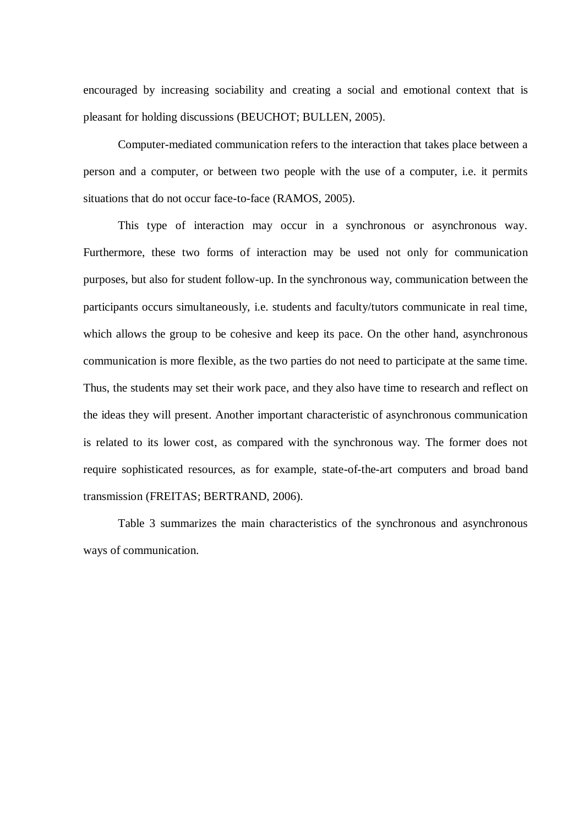encouraged by increasing sociability and creating a social and emotional context that is pleasant for holding discussions (BEUCHOT; BULLEN, 2005).

Computer-mediated communication refers to the interaction that takes place between a person and a computer, or between two people with the use of a computer, i.e. it permits situations that do not occur face-to-face (RAMOS, 2005).

This type of interaction may occur in a synchronous or asynchronous way. Furthermore, these two forms of interaction may be used not only for communication purposes, but also for student follow-up. In the synchronous way, communication between the participants occurs simultaneously, i.e. students and faculty/tutors communicate in real time, which allows the group to be cohesive and keep its pace. On the other hand, asynchronous communication is more flexible, as the two parties do not need to participate at the same time. Thus, the students may set their work pace, and they also have time to research and reflect on the ideas they will present. Another important characteristic of asynchronous communication is related to its lower cost, as compared with the synchronous way. The former does not require sophisticated resources, as for example, state-of-the-art computers and broad band transmission (FREITAS; BERTRAND, 2006).

Table 3 summarizes the main characteristics of the synchronous and asynchronous ways of communication.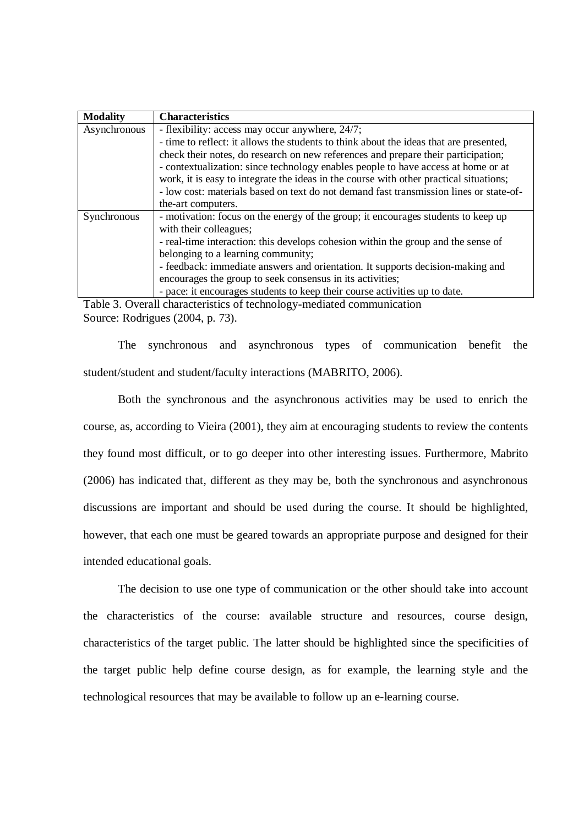| <b>Modality</b> | <b>Characteristics</b>                                                                 |  |  |  |  |  |
|-----------------|----------------------------------------------------------------------------------------|--|--|--|--|--|
| Asynchronous    | - flexibility: access may occur anywhere, 24/7;                                        |  |  |  |  |  |
|                 | - time to reflect: it allows the students to think about the ideas that are presented, |  |  |  |  |  |
|                 | check their notes, do research on new references and prepare their participation;      |  |  |  |  |  |
|                 | - contextualization: since technology enables people to have access at home or at      |  |  |  |  |  |
|                 | work, it is easy to integrate the ideas in the course with other practical situations; |  |  |  |  |  |
|                 | - low cost: materials based on text do not demand fast transmission lines or state-of- |  |  |  |  |  |
|                 | the-art computers.                                                                     |  |  |  |  |  |
| Synchronous     | - motivation: focus on the energy of the group; it encourages students to keep up      |  |  |  |  |  |
|                 | with their colleagues;                                                                 |  |  |  |  |  |
|                 | - real-time interaction: this develops cohesion within the group and the sense of      |  |  |  |  |  |
|                 | belonging to a learning community;                                                     |  |  |  |  |  |
|                 | - feedback: immediate answers and orientation. It supports decision-making and         |  |  |  |  |  |
|                 | encourages the group to seek consensus in its activities;                              |  |  |  |  |  |
|                 | - pace: it encourages students to keep their course activities up to date.             |  |  |  |  |  |

Table 3. Overall characteristics of technology-mediated communication Source: Rodrigues (2004, p. 73).

The synchronous and asynchronous types of communication benefit the student/student and student/faculty interactions (MABRITO, 2006).

Both the synchronous and the asynchronous activities may be used to enrich the course, as, according to Vieira (2001), they aim at encouraging students to review the contents they found most difficult, or to go deeper into other interesting issues. Furthermore, Mabrito (2006) has indicated that, different as they may be, both the synchronous and asynchronous discussions are important and should be used during the course. It should be highlighted, however, that each one must be geared towards an appropriate purpose and designed for their intended educational goals.

The decision to use one type of communication or the other should take into account the characteristics of the course: available structure and resources, course design, characteristics of the target public. The latter should be highlighted since the specificities of the target public help define course design, as for example, the learning style and the technological resources that may be available to follow up an e-learning course.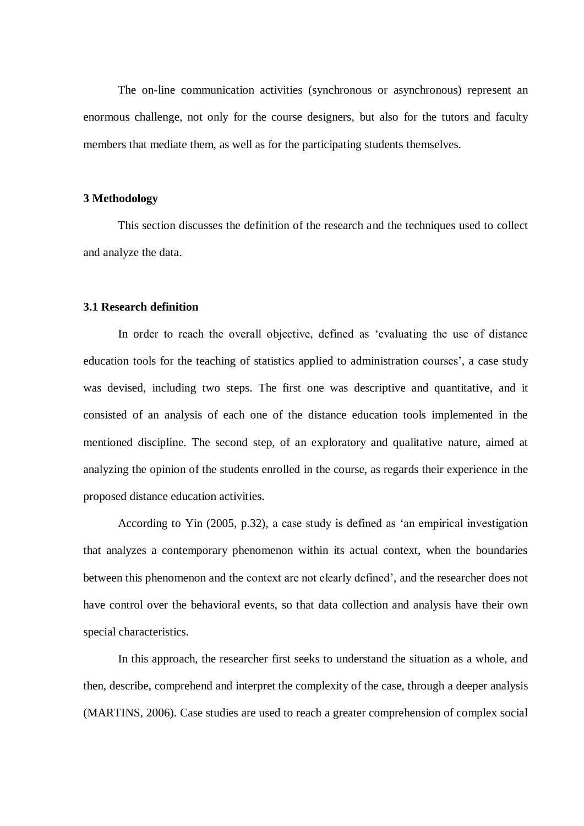The on-line communication activities (synchronous or asynchronous) represent an enormous challenge, not only for the course designers, but also for the tutors and faculty members that mediate them, as well as for the participating students themselves.

### **3 Methodology**

This section discusses the definition of the research and the techniques used to collect and analyze the data.

# **3.1 Research definition**

In order to reach the overall objective, defined as 'evaluating the use of distance education tools for the teaching of statistics applied to administration courses', a case study was devised, including two steps. The first one was descriptive and quantitative, and it consisted of an analysis of each one of the distance education tools implemented in the mentioned discipline. The second step, of an exploratory and qualitative nature, aimed at analyzing the opinion of the students enrolled in the course, as regards their experience in the proposed distance education activities.

According to Yin (2005, p.32), a case study is defined as 'an empirical investigation that analyzes a contemporary phenomenon within its actual context, when the boundaries between this phenomenon and the context are not clearly defined', and the researcher does not have control over the behavioral events, so that data collection and analysis have their own special characteristics.

In this approach, the researcher first seeks to understand the situation as a whole, and then, describe, comprehend and interpret the complexity of the case, through a deeper analysis (MARTINS, 2006). Case studies are used to reach a greater comprehension of complex social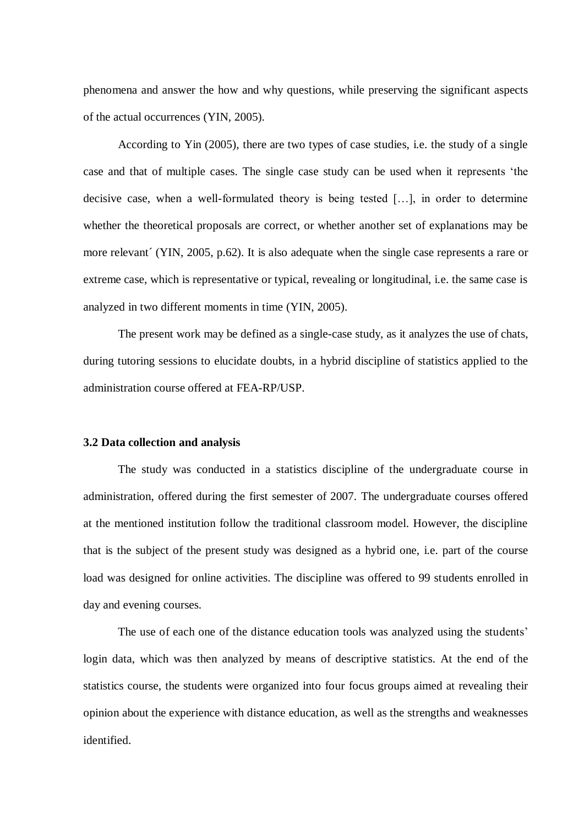phenomena and answer the how and why questions, while preserving the significant aspects of the actual occurrences (YIN, 2005).

According to Yin (2005), there are two types of case studies, i.e. the study of a single case and that of multiple cases. The single case study can be used when it represents 'the decisive case, when a well-formulated theory is being tested […], in order to determine whether the theoretical proposals are correct, or whether another set of explanations may be more relevant´ (YIN, 2005, p.62). It is also adequate when the single case represents a rare or extreme case, which is representative or typical, revealing or longitudinal, i.e. the same case is analyzed in two different moments in time (YIN, 2005).

The present work may be defined as a single-case study, as it analyzes the use of chats, during tutoring sessions to elucidate doubts, in a hybrid discipline of statistics applied to the administration course offered at FEA-RP/USP.

#### **3.2 Data collection and analysis**

The study was conducted in a statistics discipline of the undergraduate course in administration, offered during the first semester of 2007. The undergraduate courses offered at the mentioned institution follow the traditional classroom model. However, the discipline that is the subject of the present study was designed as a hybrid one, i.e. part of the course load was designed for online activities. The discipline was offered to 99 students enrolled in day and evening courses.

The use of each one of the distance education tools was analyzed using the students' login data, which was then analyzed by means of descriptive statistics. At the end of the statistics course, the students were organized into four focus groups aimed at revealing their opinion about the experience with distance education, as well as the strengths and weaknesses identified.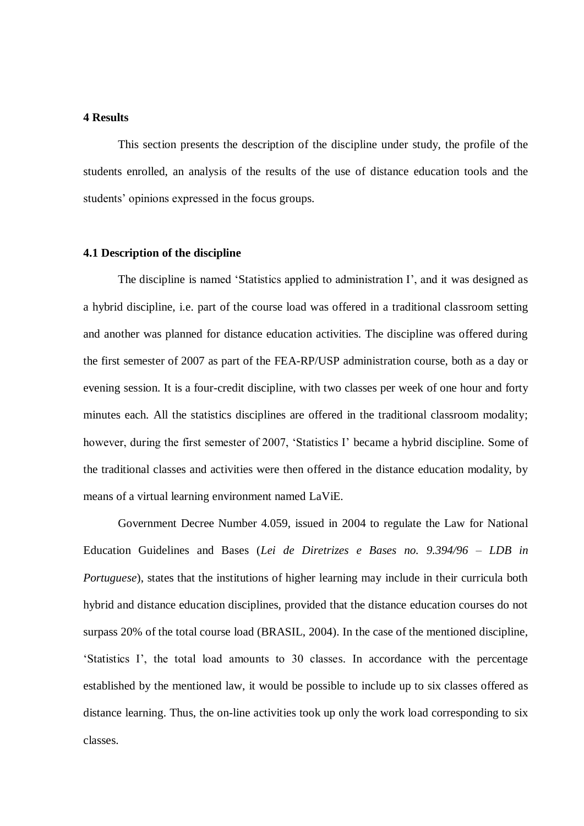# **4 Results**

This section presents the description of the discipline under study, the profile of the students enrolled, an analysis of the results of the use of distance education tools and the students' opinions expressed in the focus groups.

### **4.1 Description of the discipline**

The discipline is named 'Statistics applied to administration I', and it was designed as a hybrid discipline, i.e. part of the course load was offered in a traditional classroom setting and another was planned for distance education activities. The discipline was offered during the first semester of 2007 as part of the FEA-RP/USP administration course, both as a day or evening session. It is a four-credit discipline, with two classes per week of one hour and forty minutes each. All the statistics disciplines are offered in the traditional classroom modality; however, during the first semester of 2007, 'Statistics I' became a hybrid discipline. Some of the traditional classes and activities were then offered in the distance education modality, by means of a virtual learning environment named LaViE.

Government Decree Number 4.059, issued in 2004 to regulate the Law for National Education Guidelines and Bases (*Lei de Diretrizes e Bases no. 9.394/96 – LDB in Portuguese*), states that the institutions of higher learning may include in their curricula both hybrid and distance education disciplines, provided that the distance education courses do not surpass 20% of the total course load (BRASIL, 2004). In the case of the mentioned discipline, 'Statistics I', the total load amounts to 30 classes. In accordance with the percentage established by the mentioned law, it would be possible to include up to six classes offered as distance learning. Thus, the on-line activities took up only the work load corresponding to six classes.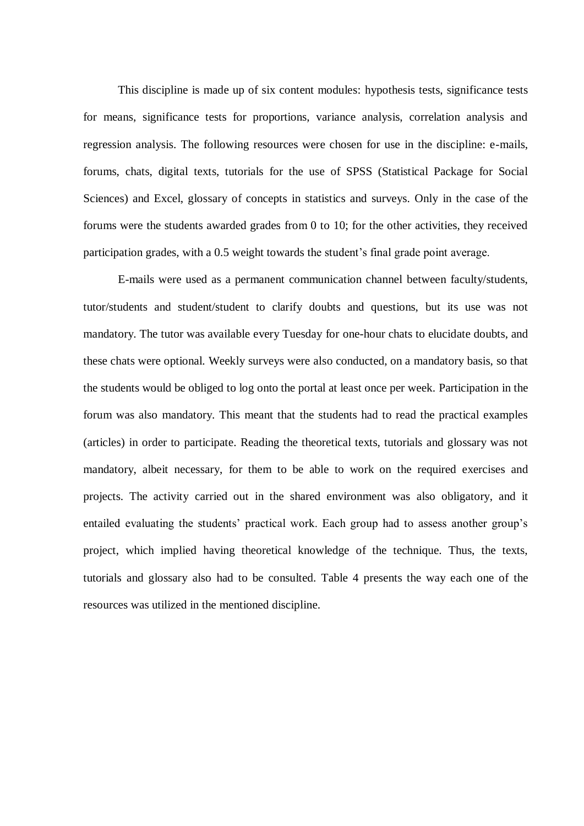This discipline is made up of six content modules: hypothesis tests, significance tests for means, significance tests for proportions, variance analysis, correlation analysis and regression analysis. The following resources were chosen for use in the discipline: e-mails, forums, chats, digital texts, tutorials for the use of SPSS (Statistical Package for Social Sciences) and Excel, glossary of concepts in statistics and surveys. Only in the case of the forums were the students awarded grades from 0 to 10; for the other activities, they received participation grades, with a 0.5 weight towards the student's final grade point average.

E-mails were used as a permanent communication channel between faculty/students, tutor/students and student/student to clarify doubts and questions, but its use was not mandatory. The tutor was available every Tuesday for one-hour chats to elucidate doubts, and these chats were optional. Weekly surveys were also conducted, on a mandatory basis, so that the students would be obliged to log onto the portal at least once per week. Participation in the forum was also mandatory. This meant that the students had to read the practical examples (articles) in order to participate. Reading the theoretical texts, tutorials and glossary was not mandatory, albeit necessary, for them to be able to work on the required exercises and projects. The activity carried out in the shared environment was also obligatory, and it entailed evaluating the students' practical work. Each group had to assess another group's project, which implied having theoretical knowledge of the technique. Thus, the texts, tutorials and glossary also had to be consulted. Table 4 presents the way each one of the resources was utilized in the mentioned discipline.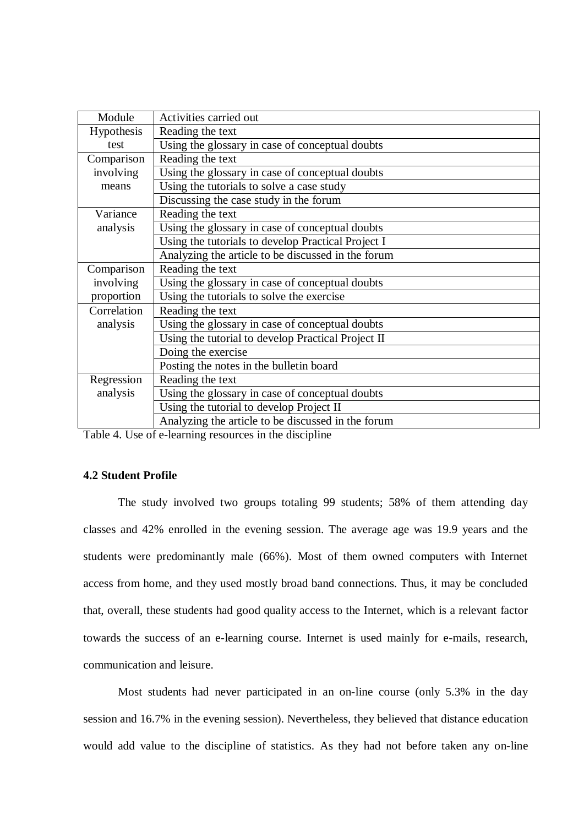| Module      | Activities carried out                             |
|-------------|----------------------------------------------------|
| Hypothesis  | Reading the text                                   |
| test        | Using the glossary in case of conceptual doubts    |
| Comparison  | Reading the text                                   |
| involving   | Using the glossary in case of conceptual doubts    |
| means       | Using the tutorials to solve a case study          |
|             | Discussing the case study in the forum             |
| Variance    | Reading the text                                   |
| analysis    | Using the glossary in case of conceptual doubts    |
|             | Using the tutorials to develop Practical Project I |
|             | Analyzing the article to be discussed in the forum |
| Comparison  | Reading the text                                   |
| involving   | Using the glossary in case of conceptual doubts    |
| proportion  | Using the tutorials to solve the exercise          |
| Correlation | Reading the text                                   |
| analysis    | Using the glossary in case of conceptual doubts    |
|             | Using the tutorial to develop Practical Project II |
|             | Doing the exercise                                 |
|             | Posting the notes in the bulletin board            |
| Regression  | Reading the text                                   |
| analysis    | Using the glossary in case of conceptual doubts    |
|             | Using the tutorial to develop Project II           |
|             | Analyzing the article to be discussed in the forum |
|             |                                                    |

Table 4. Use of e-learning resources in the discipline

# **4.2 Student Profile**

The study involved two groups totaling 99 students; 58% of them attending day classes and 42% enrolled in the evening session. The average age was 19.9 years and the students were predominantly male (66%). Most of them owned computers with Internet access from home, and they used mostly broad band connections. Thus, it may be concluded that, overall, these students had good quality access to the Internet, which is a relevant factor towards the success of an e-learning course. Internet is used mainly for e-mails, research, communication and leisure.

Most students had never participated in an on-line course (only 5.3% in the day session and 16.7% in the evening session). Nevertheless, they believed that distance education would add value to the discipline of statistics. As they had not before taken any on-line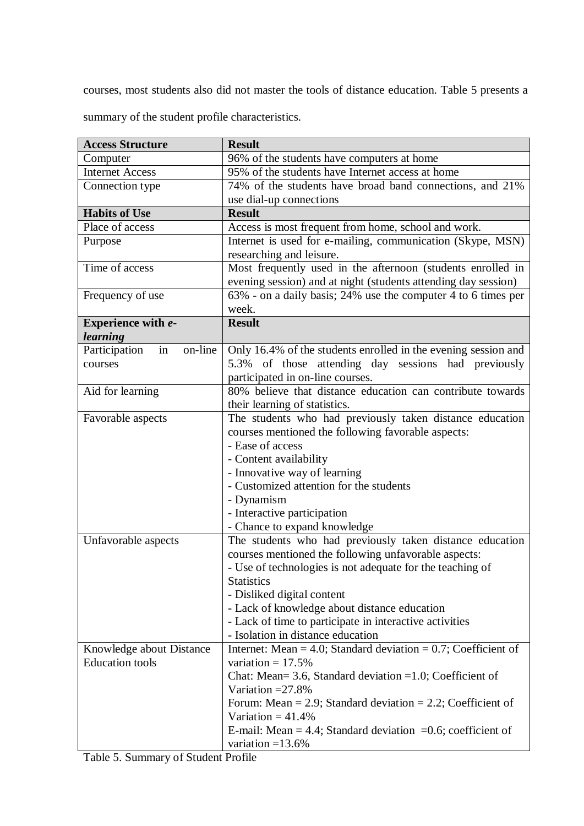courses, most students also did not master the tools of distance education. Table 5 presents a

summary of the student profile characteristics.

| <b>Access Structure</b>        | <b>Result</b>                                                                                                    |  |  |  |
|--------------------------------|------------------------------------------------------------------------------------------------------------------|--|--|--|
| Computer                       | 96% of the students have computers at home                                                                       |  |  |  |
| <b>Internet Access</b>         | 95% of the students have Internet access at home                                                                 |  |  |  |
| Connection type                | 74% of the students have broad band connections, and 21%                                                         |  |  |  |
|                                | use dial-up connections                                                                                          |  |  |  |
| <b>Habits of Use</b>           | <b>Result</b>                                                                                                    |  |  |  |
| Place of access                | Access is most frequent from home, school and work.                                                              |  |  |  |
| Purpose                        | Internet is used for e-mailing, communication (Skype, MSN)                                                       |  |  |  |
|                                | researching and leisure.                                                                                         |  |  |  |
| Time of access                 | Most frequently used in the afternoon (students enrolled in                                                      |  |  |  |
|                                | evening session) and at night (students attending day session)                                                   |  |  |  |
| Frequency of use               | 63% - on a daily basis; 24% use the computer 4 to 6 times per                                                    |  |  |  |
|                                | week.                                                                                                            |  |  |  |
| Experience with e-             | <b>Result</b>                                                                                                    |  |  |  |
| learning                       |                                                                                                                  |  |  |  |
| on-line<br>Participation<br>in | Only 16.4% of the students enrolled in the evening session and                                                   |  |  |  |
| courses                        | 5.3% of those attending day sessions had previously                                                              |  |  |  |
|                                | participated in on-line courses.                                                                                 |  |  |  |
| Aid for learning               | 80% believe that distance education can contribute towards                                                       |  |  |  |
|                                | their learning of statistics.                                                                                    |  |  |  |
| Favorable aspects              | The students who had previously taken distance education                                                         |  |  |  |
|                                | courses mentioned the following favorable aspects:                                                               |  |  |  |
|                                | - Ease of access                                                                                                 |  |  |  |
|                                | - Content availability                                                                                           |  |  |  |
|                                | - Innovative way of learning                                                                                     |  |  |  |
|                                | - Customized attention for the students                                                                          |  |  |  |
|                                | - Dynamism<br>- Interactive participation                                                                        |  |  |  |
|                                |                                                                                                                  |  |  |  |
|                                | - Chance to expand knowledge                                                                                     |  |  |  |
| Unfavorable aspects            | The students who had previously taken distance education<br>courses mentioned the following unfavorable aspects: |  |  |  |
|                                | - Use of technologies is not adequate for the teaching of                                                        |  |  |  |
|                                | <b>Statistics</b>                                                                                                |  |  |  |
|                                | - Disliked digital content                                                                                       |  |  |  |
|                                | - Lack of knowledge about distance education                                                                     |  |  |  |
|                                | - Lack of time to participate in interactive activities                                                          |  |  |  |
|                                | - Isolation in distance education                                                                                |  |  |  |
| Knowledge about Distance       | Internet: Mean = 4.0; Standard deviation = $0.7$ ; Coefficient of                                                |  |  |  |
| <b>Education</b> tools         | variation = $17.5%$                                                                                              |  |  |  |
|                                | Chat: Mean= 3.6, Standard deviation = $1.0$ ; Coefficient of                                                     |  |  |  |
|                                | Variation $=27.8\%$                                                                                              |  |  |  |
|                                | Forum: Mean = 2.9; Standard deviation = 2.2; Coefficient of                                                      |  |  |  |
|                                | Variation = $41.4\%$                                                                                             |  |  |  |
|                                | E-mail: Mean = 4.4; Standard deviation = $0.6$ ; coefficient of                                                  |  |  |  |
|                                | variation $=13.6\%$                                                                                              |  |  |  |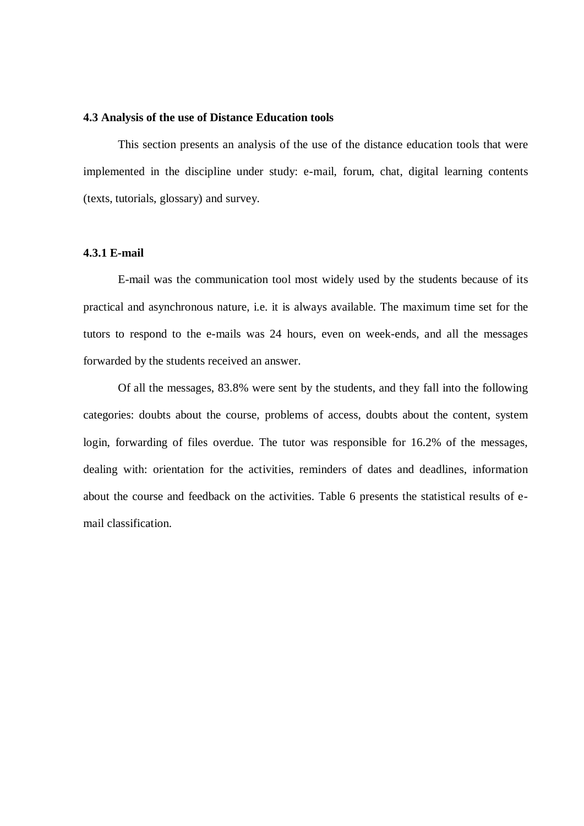# **4.3 Analysis of the use of Distance Education tools**

This section presents an analysis of the use of the distance education tools that were implemented in the discipline under study: e-mail, forum, chat, digital learning contents (texts, tutorials, glossary) and survey.

# **4.3.1 E-mail**

E-mail was the communication tool most widely used by the students because of its practical and asynchronous nature, i.e. it is always available. The maximum time set for the tutors to respond to the e-mails was 24 hours, even on week-ends, and all the messages forwarded by the students received an answer.

Of all the messages, 83.8% were sent by the students, and they fall into the following categories: doubts about the course, problems of access, doubts about the content, system login, forwarding of files overdue. The tutor was responsible for 16.2% of the messages, dealing with: orientation for the activities, reminders of dates and deadlines, information about the course and feedback on the activities. Table 6 presents the statistical results of email classification.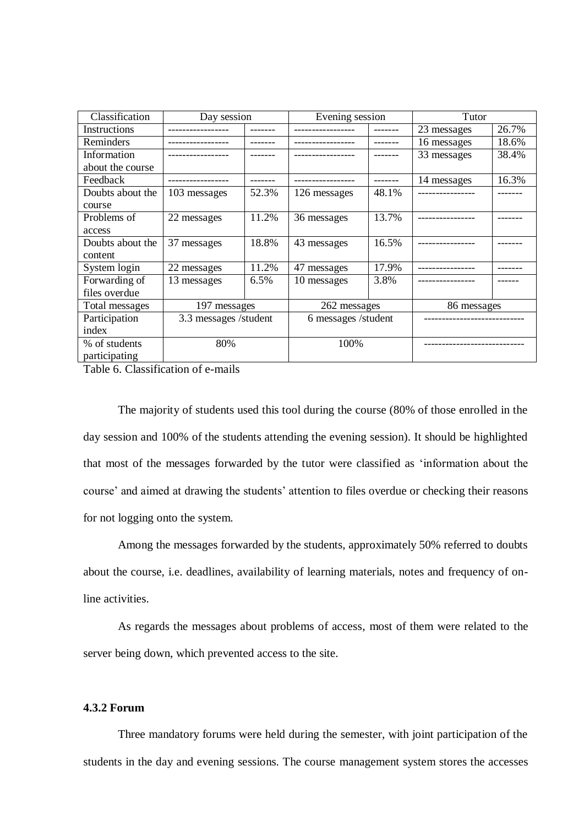| Classification<br>Day session |                       |       | Evening session     |       | Tutor       |       |
|-------------------------------|-----------------------|-------|---------------------|-------|-------------|-------|
| Instructions                  |                       |       |                     |       | 23 messages | 26.7% |
| Reminders                     |                       |       |                     |       | 16 messages | 18.6% |
| Information                   |                       |       |                     |       | 33 messages | 38.4% |
| about the course              |                       |       |                     |       |             |       |
| Feedback                      |                       |       |                     |       | 14 messages | 16.3% |
| Doubts about the              | 103 messages          | 52.3% | 126 messages        | 48.1% |             |       |
| course                        |                       |       |                     |       |             |       |
| Problems of                   | 22 messages           | 11.2% | 36 messages         | 13.7% |             |       |
| access                        |                       |       |                     |       |             |       |
| Doubts about the              | 37 messages           | 18.8% | 43 messages         | 16.5% |             |       |
| content                       |                       |       |                     |       |             |       |
| System login                  | 22 messages           | 11.2% | 47 messages         | 17.9% |             |       |
| Forwarding of                 | 13 messages           | 6.5%  | 10 messages         | 3.8%  |             |       |
| files overdue                 |                       |       |                     |       |             |       |
| Total messages                | 197 messages          |       | 262 messages        |       | 86 messages |       |
| Participation                 | 3.3 messages /student |       | 6 messages /student |       |             |       |
| index                         |                       |       |                     |       |             |       |
| % of students                 | 80%                   |       | 100%                |       |             |       |
| participating                 |                       |       |                     |       |             |       |

Table 6. Classification of e-mails

The majority of students used this tool during the course (80% of those enrolled in the day session and 100% of the students attending the evening session). It should be highlighted that most of the messages forwarded by the tutor were classified as 'information about the course' and aimed at drawing the students' attention to files overdue or checking their reasons for not logging onto the system.

Among the messages forwarded by the students, approximately 50% referred to doubts about the course, i.e. deadlines, availability of learning materials, notes and frequency of online activities.

As regards the messages about problems of access, most of them were related to the server being down, which prevented access to the site.

# **4.3.2 Forum**

Three mandatory forums were held during the semester, with joint participation of the students in the day and evening sessions. The course management system stores the accesses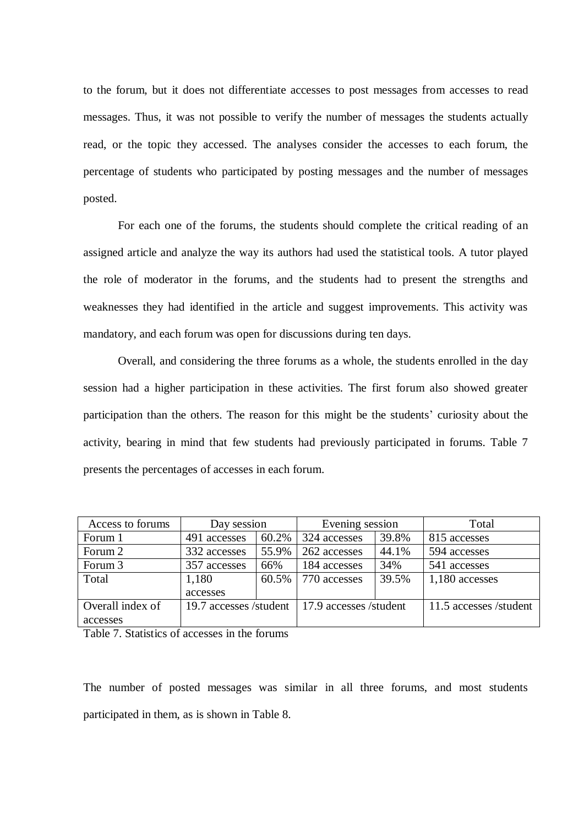to the forum, but it does not differentiate accesses to post messages from accesses to read messages. Thus, it was not possible to verify the number of messages the students actually read, or the topic they accessed. The analyses consider the accesses to each forum, the percentage of students who participated by posting messages and the number of messages posted.

For each one of the forums, the students should complete the critical reading of an assigned article and analyze the way its authors had used the statistical tools. A tutor played the role of moderator in the forums, and the students had to present the strengths and weaknesses they had identified in the article and suggest improvements. This activity was mandatory, and each forum was open for discussions during ten days.

Overall, and considering the three forums as a whole, the students enrolled in the day session had a higher participation in these activities. The first forum also showed greater participation than the others. The reason for this might be the students' curiosity about the activity, bearing in mind that few students had previously participated in forums. Table 7 presents the percentages of accesses in each forum.

| Access to forums                           | Day session  |       | Evening session        |       | Total                  |
|--------------------------------------------|--------------|-------|------------------------|-------|------------------------|
| Forum 1                                    | 491 accesses | 60.2% | 324 accesses           | 39.8% | 815 accesses           |
| Forum 2                                    | 332 accesses | 55.9% | 262 accesses           | 44.1% | 594 accesses           |
| Forum 3                                    | 357 accesses | 66%   | 184 accesses           | 34%   | 541 accesses           |
| Total                                      | 1,180        | 60.5% | 770 accesses           | 39.5% | 1,180 accesses         |
|                                            | accesses     |       |                        |       |                        |
| Overall index of<br>19.7 accesses /student |              |       | 17.9 accesses /student |       | 11.5 accesses /student |
| accesses                                   |              |       |                        |       |                        |
|                                            |              |       |                        |       |                        |

Table 7. Statistics of accesses in the forums

The number of posted messages was similar in all three forums, and most students participated in them, as is shown in Table 8.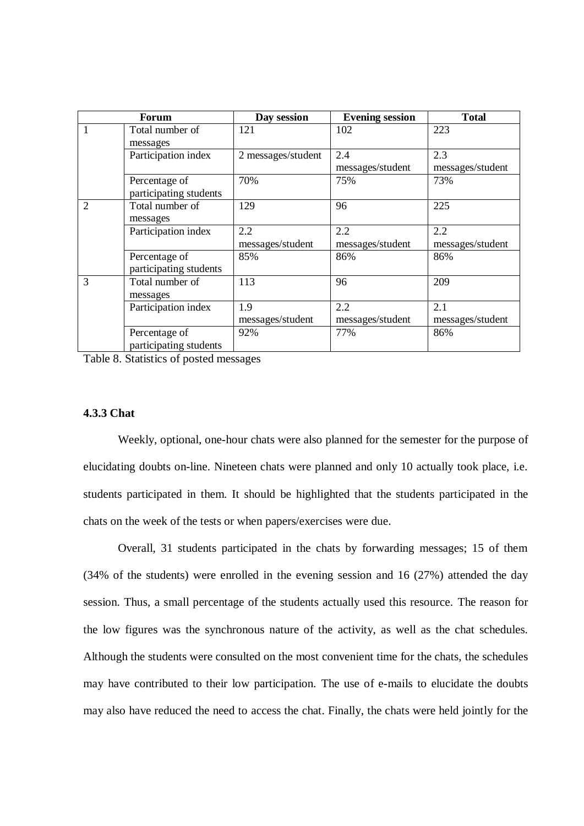| <b>Forum</b> |                        | Day session        | <b>Evening session</b> | <b>Total</b>     |
|--------------|------------------------|--------------------|------------------------|------------------|
| $\mathbf{1}$ | Total number of        | 121                | 102                    | 223              |
|              | messages               |                    |                        |                  |
|              | Participation index    | 2 messages/student | 2.4                    | 2.3              |
|              |                        |                    | messages/student       | messages/student |
|              | Percentage of          | 70%                | 75%                    | 73%              |
|              | participating students |                    |                        |                  |
| 2            | Total number of        | 129                | 96                     | 225              |
|              | messages               |                    |                        |                  |
|              | Participation index    | 2.2                | 2.2                    | 2.2              |
|              |                        | messages/student   | messages/student       | messages/student |
|              | Percentage of          | 85%                | 86%                    | 86%              |
|              | participating students |                    |                        |                  |
| 3            | Total number of        | 113                | 96                     | 209              |
|              | messages               |                    |                        |                  |
|              | Participation index    | 1.9                | 2.2                    | 2.1              |
|              |                        | messages/student   | messages/student       | messages/student |
|              | Percentage of          | 92%                | 77%                    | 86%              |
|              | participating students |                    |                        |                  |

Table 8. Statistics of posted messages

### **4.3.3 Chat**

Weekly, optional, one-hour chats were also planned for the semester for the purpose of elucidating doubts on-line. Nineteen chats were planned and only 10 actually took place, i.e. students participated in them. It should be highlighted that the students participated in the chats on the week of the tests or when papers/exercises were due.

Overall, 31 students participated in the chats by forwarding messages; 15 of them (34% of the students) were enrolled in the evening session and 16 (27%) attended the day session. Thus, a small percentage of the students actually used this resource. The reason for the low figures was the synchronous nature of the activity, as well as the chat schedules. Although the students were consulted on the most convenient time for the chats, the schedules may have contributed to their low participation. The use of e-mails to elucidate the doubts may also have reduced the need to access the chat. Finally, the chats were held jointly for the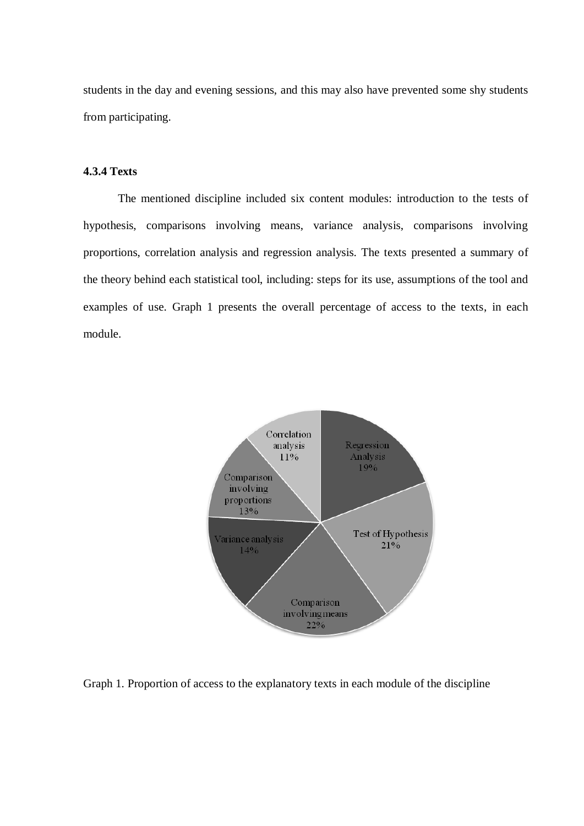students in the day and evening sessions, and this may also have prevented some shy students from participating.

# **4.3.4 Texts**

The mentioned discipline included six content modules: introduction to the tests of hypothesis, comparisons involving means, variance analysis, comparisons involving proportions, correlation analysis and regression analysis. The texts presented a summary of the theory behind each statistical tool, including: steps for its use, assumptions of the tool and examples of use. Graph 1 presents the overall percentage of access to the texts, in each module.



Graph 1. Proportion of access to the explanatory texts in each module of the discipline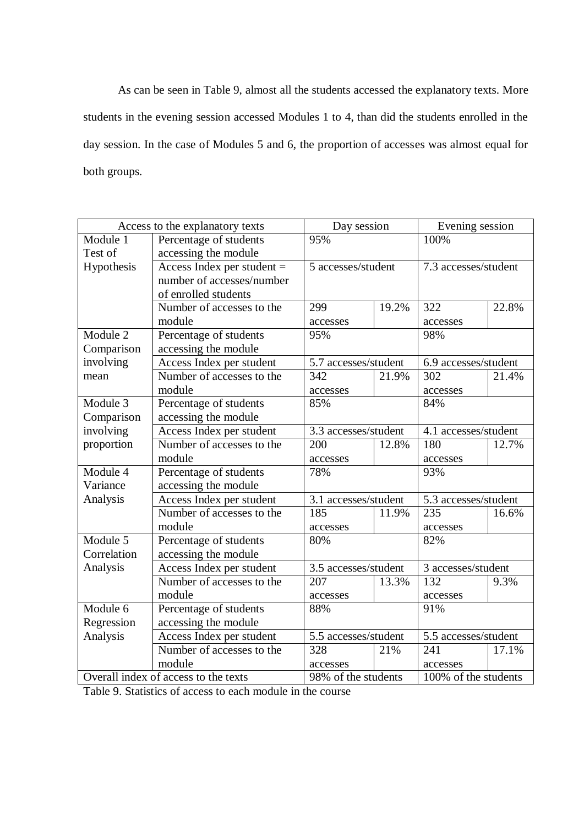As can be seen in Table 9, almost all the students accessed the explanatory texts. More students in the evening session accessed Modules 1 to 4, than did the students enrolled in the day session. In the case of Modules 5 and 6, the proportion of accesses was almost equal for both groups.

|                                      | Access to the explanatory texts | Day session                                 |       | Evening session      |       |  |
|--------------------------------------|---------------------------------|---------------------------------------------|-------|----------------------|-------|--|
| Module 1                             | Percentage of students          | 95%                                         |       | 100%                 |       |  |
| Test of                              | accessing the module            |                                             |       |                      |       |  |
| Hypothesis                           | Access Index per student $=$    | 5 accesses/student                          |       | 7.3 accesses/student |       |  |
|                                      | number of accesses/number       |                                             |       |                      |       |  |
|                                      | of enrolled students            |                                             |       |                      |       |  |
|                                      | Number of accesses to the       | 299                                         | 19.2% | 322                  | 22.8% |  |
|                                      | module                          | accesses                                    |       | accesses             |       |  |
| Module 2                             | Percentage of students          | 95%                                         |       | 98%                  |       |  |
| Comparison                           | accessing the module            |                                             |       |                      |       |  |
| involving                            | Access Index per student        | 5.7 accesses/student                        |       | 6.9 accesses/student |       |  |
| mean                                 | Number of accesses to the       | 342                                         | 21.9% | 302                  | 21.4% |  |
|                                      | module                          | accesses                                    |       | accesses             |       |  |
| Module 3                             | Percentage of students          | 85%                                         |       | 84%                  |       |  |
| Comparison                           | accessing the module            |                                             |       |                      |       |  |
| involving                            | Access Index per student        | 3.3 accesses/student                        |       | 4.1 accesses/student |       |  |
| proportion                           | Number of accesses to the       | 200                                         | 12.8% | 180                  | 12.7% |  |
|                                      | module                          | accesses                                    |       | accesses             |       |  |
| Module 4                             | Percentage of students          | 78%                                         |       | 93%                  |       |  |
| Variance                             | accessing the module            |                                             |       |                      |       |  |
| Analysis                             | Access Index per student        | 3.1 accesses/student                        |       | 5.3 accesses/student |       |  |
|                                      | Number of accesses to the       | 185                                         | 11.9% | 235                  | 16.6% |  |
|                                      | module                          | accesses                                    |       | accesses             |       |  |
| Module 5                             | Percentage of students          | 80%                                         |       | 82%                  |       |  |
| Correlation                          | accessing the module            |                                             |       |                      |       |  |
| Analysis                             | Access Index per student        | 3.5 accesses/student                        |       | 3 accesses/student   |       |  |
|                                      | Number of accesses to the       | 207                                         | 13.3% | 132                  | 9.3%  |  |
|                                      | module                          | accesses                                    |       | accesses             |       |  |
| Module 6                             | Percentage of students          | 88%                                         |       | 91%                  |       |  |
| Regression                           | accessing the module            |                                             |       |                      |       |  |
| Analysis                             | Access Index per student        | 5.5 accesses/student                        |       | 5.5 accesses/student |       |  |
|                                      | Number of accesses to the       |                                             | 21%   | 241                  | 17.1% |  |
|                                      | module                          | accesses                                    |       | accesses             |       |  |
| Overall index of access to the texts |                                 | 98% of the students<br>100% of the students |       |                      |       |  |

Table 9. Statistics of access to each module in the course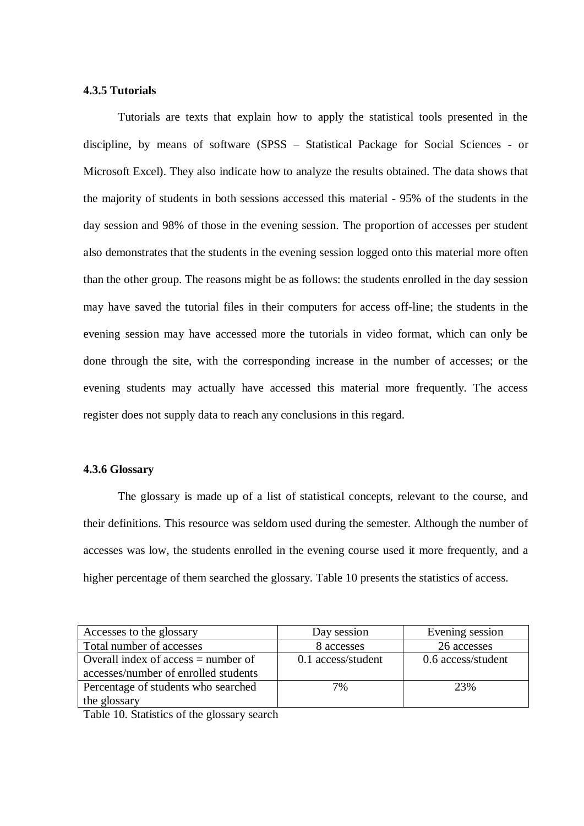### **4.3.5 Tutorials**

Tutorials are texts that explain how to apply the statistical tools presented in the discipline, by means of software (SPSS – Statistical Package for Social Sciences - or Microsoft Excel). They also indicate how to analyze the results obtained. The data shows that the majority of students in both sessions accessed this material - 95% of the students in the day session and 98% of those in the evening session. The proportion of accesses per student also demonstrates that the students in the evening session logged onto this material more often than the other group. The reasons might be as follows: the students enrolled in the day session may have saved the tutorial files in their computers for access off-line; the students in the evening session may have accessed more the tutorials in video format, which can only be done through the site, with the corresponding increase in the number of accesses; or the evening students may actually have accessed this material more frequently. The access register does not supply data to reach any conclusions in this regard.

# **4.3.6 Glossary**

The glossary is made up of a list of statistical concepts, relevant to the course, and their definitions. This resource was seldom used during the semester. Although the number of accesses was low, the students enrolled in the evening course used it more frequently, and a higher percentage of them searched the glossary. Table 10 presents the statistics of access.

| Accesses to the glossary              | Day session        | Evening session    |
|---------------------------------------|--------------------|--------------------|
| Total number of accesses              | 8 accesses         | 26 accesses        |
| Overall index of access $=$ number of | 0.1 access/student | 0.6 access/student |
| accesses/number of enrolled students  |                    |                    |
| Percentage of students who searched   | 7%                 | 23%                |
| the glossary                          |                    |                    |

Table 10. Statistics of the glossary search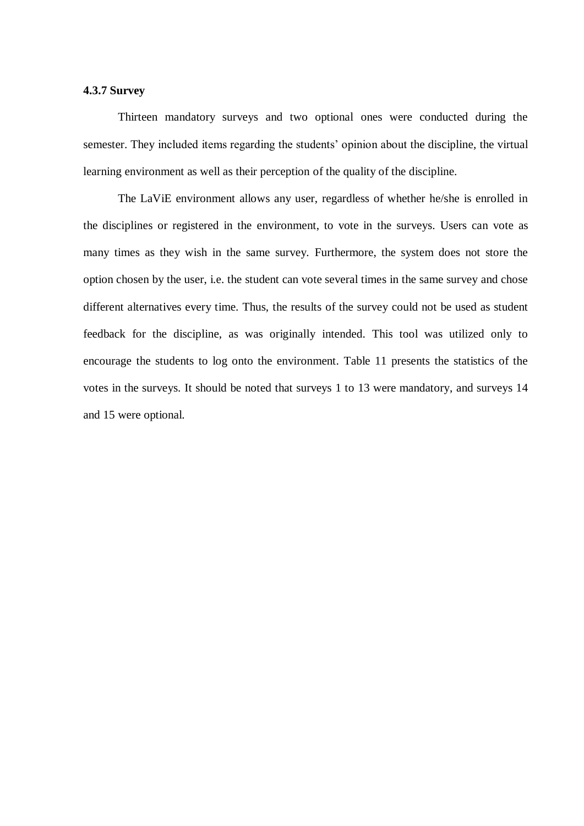### **4.3.7 Survey**

Thirteen mandatory surveys and two optional ones were conducted during the semester. They included items regarding the students' opinion about the discipline, the virtual learning environment as well as their perception of the quality of the discipline.

The LaViE environment allows any user, regardless of whether he/she is enrolled in the disciplines or registered in the environment, to vote in the surveys. Users can vote as many times as they wish in the same survey. Furthermore, the system does not store the option chosen by the user, i.e. the student can vote several times in the same survey and chose different alternatives every time. Thus, the results of the survey could not be used as student feedback for the discipline, as was originally intended. This tool was utilized only to encourage the students to log onto the environment. Table 11 presents the statistics of the votes in the surveys. It should be noted that surveys 1 to 13 were mandatory, and surveys 14 and 15 were optional.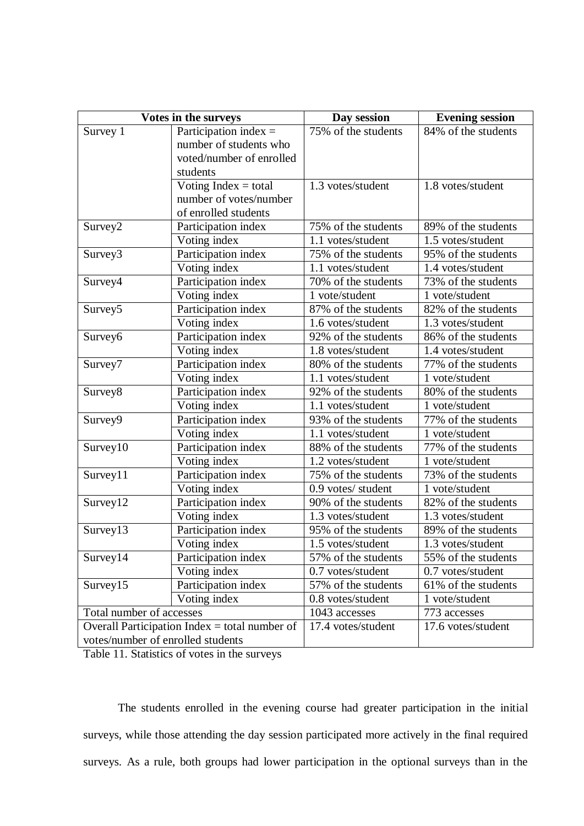| Votes in the surveys                                                                 |                                                                                           | Day session         | <b>Evening session</b> |
|--------------------------------------------------------------------------------------|-------------------------------------------------------------------------------------------|---------------------|------------------------|
| Survey 1                                                                             | Participation index $=$<br>number of students who<br>voted/number of enrolled<br>students | 75% of the students | 84% of the students    |
|                                                                                      | Voting Index $=$ total<br>number of votes/number<br>of enrolled students                  | 1.3 votes/student   | 1.8 votes/student      |
| Survey2                                                                              | Participation index                                                                       | 75% of the students | 89% of the students    |
|                                                                                      | Voting index                                                                              | 1.1 votes/student   | 1.5 votes/student      |
| Survey3                                                                              | Participation index                                                                       | 75% of the students | 95% of the students    |
|                                                                                      | Voting index                                                                              | 1.1 votes/student   | 1.4 votes/student      |
| Survey4                                                                              | Participation index                                                                       | 70% of the students | 73% of the students    |
|                                                                                      | Voting index                                                                              | 1 vote/student      | 1 vote/student         |
| Survey <sub>5</sub>                                                                  | Participation index                                                                       | 87% of the students | 82% of the students    |
|                                                                                      | Voting index                                                                              | 1.6 votes/student   | 1.3 votes/student      |
| Survey <sub>6</sub>                                                                  | Participation index                                                                       | 92% of the students | 86% of the students    |
|                                                                                      | Voting index                                                                              | 1.8 votes/student   | 1.4 votes/student      |
| Survey7                                                                              | Participation index                                                                       | 80% of the students | 77% of the students    |
|                                                                                      | Voting index                                                                              | 1.1 votes/student   | 1 vote/student         |
| Survey <sub>8</sub>                                                                  | Participation index                                                                       | 92% of the students | 80% of the students    |
|                                                                                      | Voting index                                                                              | 1.1 votes/student   | 1 vote/student         |
| Survey9                                                                              | Participation index                                                                       | 93% of the students | 77% of the students    |
|                                                                                      | Voting index                                                                              | 1.1 votes/student   | 1 vote/student         |
| Survey10                                                                             | Participation index                                                                       | 88% of the students | 77% of the students    |
|                                                                                      | Voting index                                                                              | 1.2 votes/student   | 1 vote/student         |
| Survey11                                                                             | Participation index                                                                       | 75% of the students | 73% of the students    |
|                                                                                      | Voting index                                                                              | 0.9 votes/ student  | 1 vote/student         |
| Survey12                                                                             | Participation index                                                                       | 90% of the students | 82% of the students    |
|                                                                                      | Voting index                                                                              | 1.3 votes/student   | 1.3 votes/student      |
| Survey13                                                                             | Participation index                                                                       | 95% of the students | 89% of the students    |
|                                                                                      | Voting index                                                                              | 1.5 votes/student   | 1.3 votes/student      |
| Survey14                                                                             | Participation index                                                                       | 57% of the students | 55% of the students    |
|                                                                                      | Voting index                                                                              | 0.7 votes/student   | 0.7 votes/student      |
| Survey15                                                                             | Participation index                                                                       | 57% of the students | 61% of the students    |
|                                                                                      | Voting index                                                                              | 0.8 votes/student   | 1 vote/student         |
| Total number of accesses                                                             |                                                                                           | 1043 accesses       | 773 accesses           |
| Overall Participation Index $=$ total number of<br>votes/number of enrolled students |                                                                                           | 17.4 votes/student  | 17.6 votes/student     |

Table 11. Statistics of votes in the surveys

The students enrolled in the evening course had greater participation in the initial surveys, while those attending the day session participated more actively in the final required surveys. As a rule, both groups had lower participation in the optional surveys than in the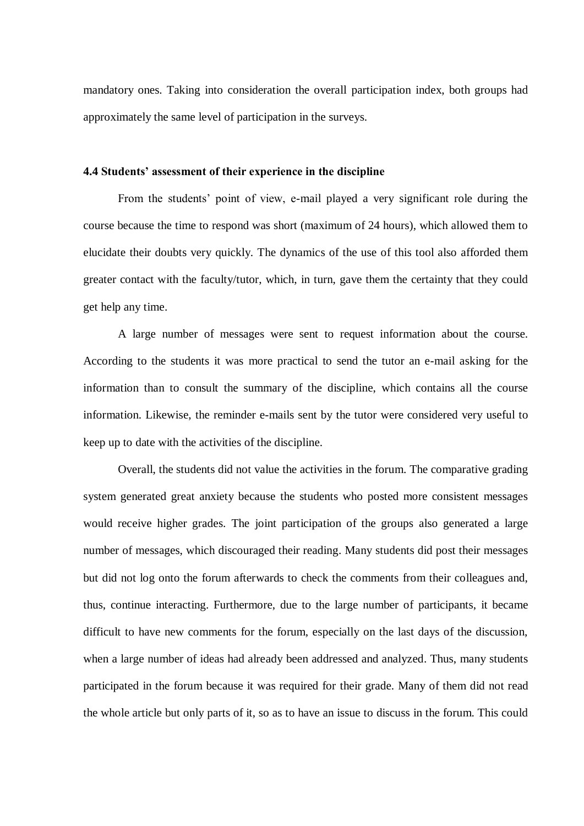mandatory ones. Taking into consideration the overall participation index, both groups had approximately the same level of participation in the surveys.

# **4.4 Students' assessment of their experience in the discipline**

From the students' point of view, e-mail played a very significant role during the course because the time to respond was short (maximum of 24 hours), which allowed them to elucidate their doubts very quickly. The dynamics of the use of this tool also afforded them greater contact with the faculty/tutor, which, in turn, gave them the certainty that they could get help any time.

A large number of messages were sent to request information about the course. According to the students it was more practical to send the tutor an e-mail asking for the information than to consult the summary of the discipline, which contains all the course information. Likewise, the reminder e-mails sent by the tutor were considered very useful to keep up to date with the activities of the discipline.

Overall, the students did not value the activities in the forum. The comparative grading system generated great anxiety because the students who posted more consistent messages would receive higher grades. The joint participation of the groups also generated a large number of messages, which discouraged their reading. Many students did post their messages but did not log onto the forum afterwards to check the comments from their colleagues and, thus, continue interacting. Furthermore, due to the large number of participants, it became difficult to have new comments for the forum, especially on the last days of the discussion, when a large number of ideas had already been addressed and analyzed. Thus, many students participated in the forum because it was required for their grade. Many of them did not read the whole article but only parts of it, so as to have an issue to discuss in the forum. This could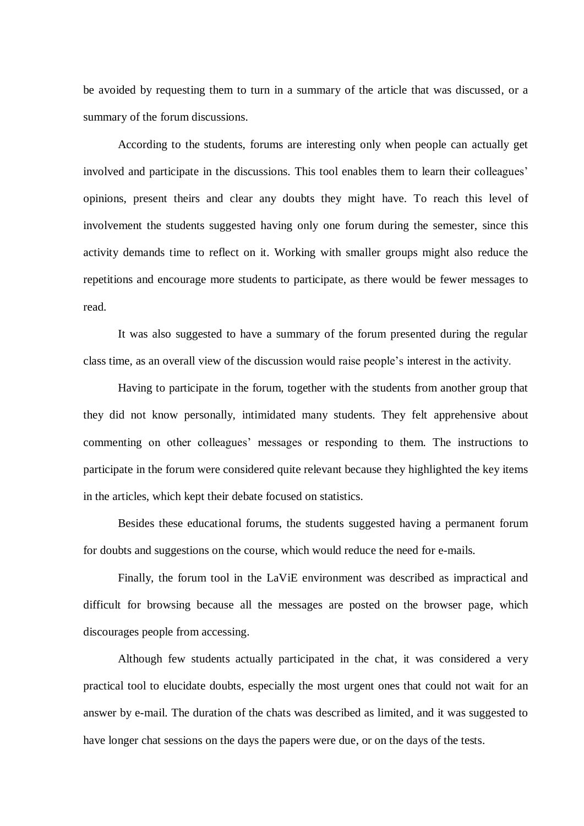be avoided by requesting them to turn in a summary of the article that was discussed, or a summary of the forum discussions.

According to the students, forums are interesting only when people can actually get involved and participate in the discussions. This tool enables them to learn their colleagues' opinions, present theirs and clear any doubts they might have. To reach this level of involvement the students suggested having only one forum during the semester, since this activity demands time to reflect on it. Working with smaller groups might also reduce the repetitions and encourage more students to participate, as there would be fewer messages to read.

It was also suggested to have a summary of the forum presented during the regular class time, as an overall view of the discussion would raise people's interest in the activity.

Having to participate in the forum, together with the students from another group that they did not know personally, intimidated many students. They felt apprehensive about commenting on other colleagues' messages or responding to them. The instructions to participate in the forum were considered quite relevant because they highlighted the key items in the articles, which kept their debate focused on statistics.

Besides these educational forums, the students suggested having a permanent forum for doubts and suggestions on the course, which would reduce the need for e-mails.

Finally, the forum tool in the LaViE environment was described as impractical and difficult for browsing because all the messages are posted on the browser page, which discourages people from accessing.

Although few students actually participated in the chat, it was considered a very practical tool to elucidate doubts, especially the most urgent ones that could not wait for an answer by e-mail. The duration of the chats was described as limited, and it was suggested to have longer chat sessions on the days the papers were due, or on the days of the tests.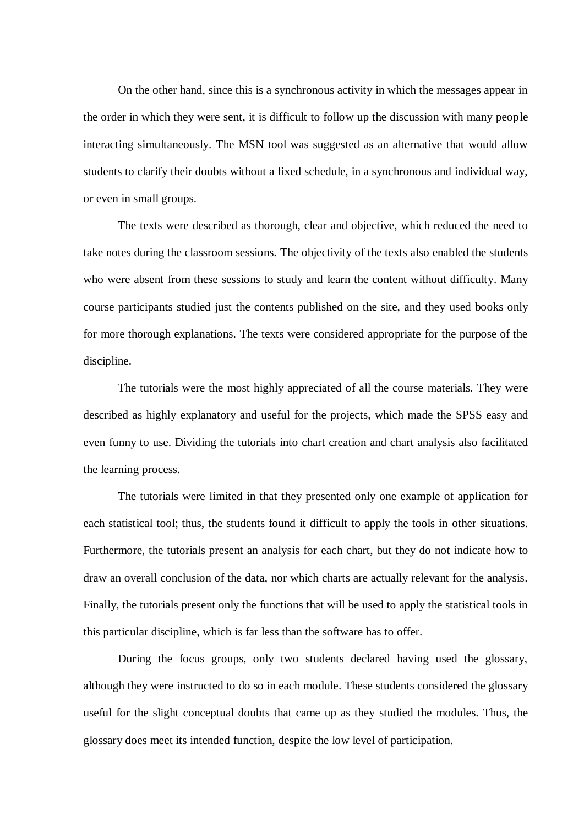On the other hand, since this is a synchronous activity in which the messages appear in the order in which they were sent, it is difficult to follow up the discussion with many people interacting simultaneously. The MSN tool was suggested as an alternative that would allow students to clarify their doubts without a fixed schedule, in a synchronous and individual way, or even in small groups.

The texts were described as thorough, clear and objective, which reduced the need to take notes during the classroom sessions. The objectivity of the texts also enabled the students who were absent from these sessions to study and learn the content without difficulty. Many course participants studied just the contents published on the site, and they used books only for more thorough explanations. The texts were considered appropriate for the purpose of the discipline.

The tutorials were the most highly appreciated of all the course materials. They were described as highly explanatory and useful for the projects, which made the SPSS easy and even funny to use. Dividing the tutorials into chart creation and chart analysis also facilitated the learning process.

The tutorials were limited in that they presented only one example of application for each statistical tool; thus, the students found it difficult to apply the tools in other situations. Furthermore, the tutorials present an analysis for each chart, but they do not indicate how to draw an overall conclusion of the data, nor which charts are actually relevant for the analysis. Finally, the tutorials present only the functions that will be used to apply the statistical tools in this particular discipline, which is far less than the software has to offer.

During the focus groups, only two students declared having used the glossary, although they were instructed to do so in each module. These students considered the glossary useful for the slight conceptual doubts that came up as they studied the modules. Thus, the glossary does meet its intended function, despite the low level of participation.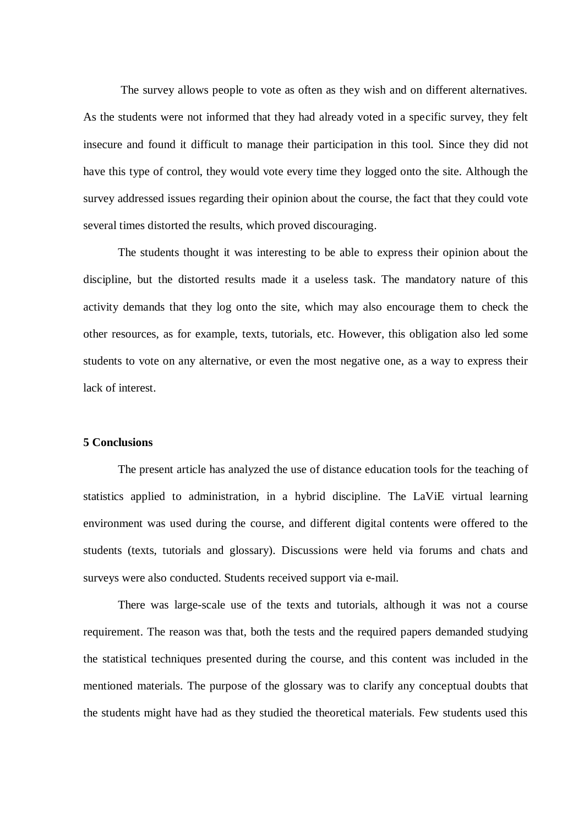The survey allows people to vote as often as they wish and on different alternatives. As the students were not informed that they had already voted in a specific survey, they felt insecure and found it difficult to manage their participation in this tool. Since they did not have this type of control, they would vote every time they logged onto the site. Although the survey addressed issues regarding their opinion about the course, the fact that they could vote several times distorted the results, which proved discouraging.

The students thought it was interesting to be able to express their opinion about the discipline, but the distorted results made it a useless task. The mandatory nature of this activity demands that they log onto the site, which may also encourage them to check the other resources, as for example, texts, tutorials, etc. However, this obligation also led some students to vote on any alternative, or even the most negative one, as a way to express their lack of interest.

### **5 Conclusions**

The present article has analyzed the use of distance education tools for the teaching of statistics applied to administration, in a hybrid discipline. The LaViE virtual learning environment was used during the course, and different digital contents were offered to the students (texts, tutorials and glossary). Discussions were held via forums and chats and surveys were also conducted. Students received support via e-mail.

There was large-scale use of the texts and tutorials, although it was not a course requirement. The reason was that, both the tests and the required papers demanded studying the statistical techniques presented during the course, and this content was included in the mentioned materials. The purpose of the glossary was to clarify any conceptual doubts that the students might have had as they studied the theoretical materials. Few students used this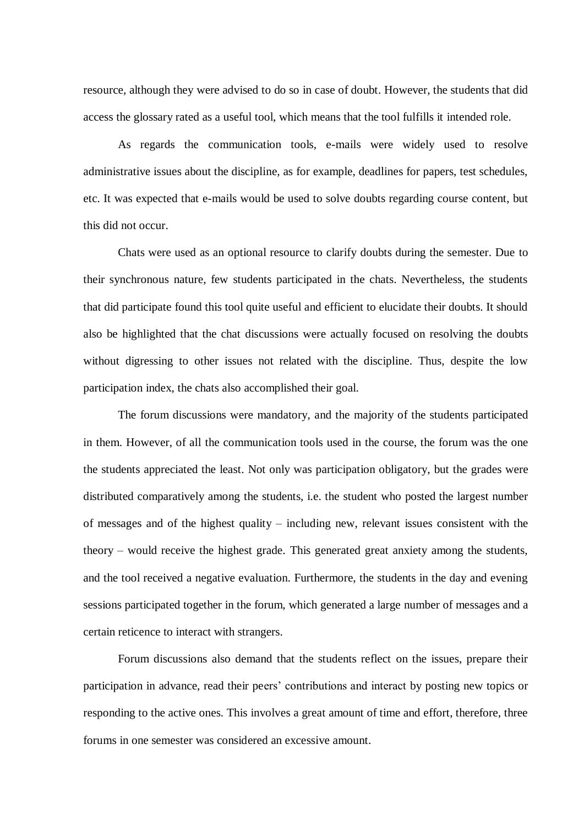resource, although they were advised to do so in case of doubt. However, the students that did access the glossary rated as a useful tool, which means that the tool fulfills it intended role.

As regards the communication tools, e-mails were widely used to resolve administrative issues about the discipline, as for example, deadlines for papers, test schedules, etc. It was expected that e-mails would be used to solve doubts regarding course content, but this did not occur.

Chats were used as an optional resource to clarify doubts during the semester. Due to their synchronous nature, few students participated in the chats. Nevertheless, the students that did participate found this tool quite useful and efficient to elucidate their doubts. It should also be highlighted that the chat discussions were actually focused on resolving the doubts without digressing to other issues not related with the discipline. Thus, despite the low participation index, the chats also accomplished their goal.

The forum discussions were mandatory, and the majority of the students participated in them. However, of all the communication tools used in the course, the forum was the one the students appreciated the least. Not only was participation obligatory, but the grades were distributed comparatively among the students, i.e. the student who posted the largest number of messages and of the highest quality – including new, relevant issues consistent with the theory – would receive the highest grade. This generated great anxiety among the students, and the tool received a negative evaluation. Furthermore, the students in the day and evening sessions participated together in the forum, which generated a large number of messages and a certain reticence to interact with strangers.

Forum discussions also demand that the students reflect on the issues, prepare their participation in advance, read their peers' contributions and interact by posting new topics or responding to the active ones. This involves a great amount of time and effort, therefore, three forums in one semester was considered an excessive amount.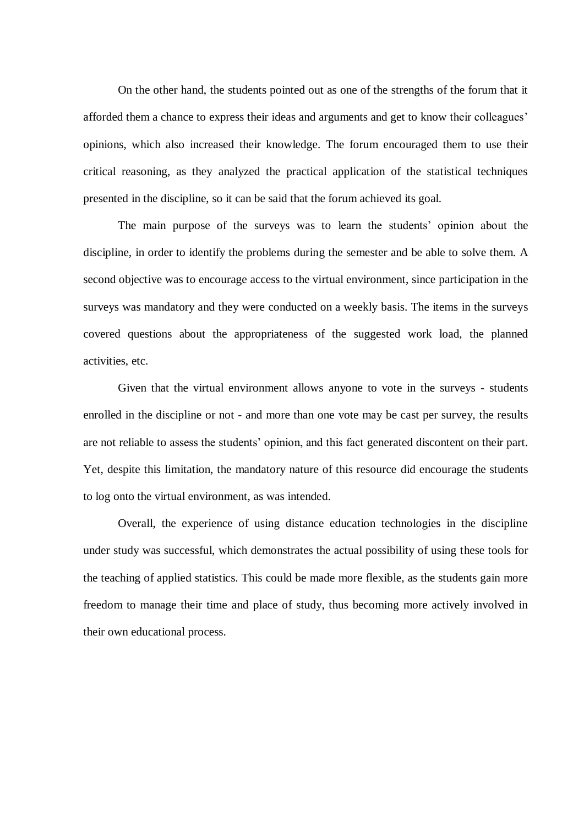On the other hand, the students pointed out as one of the strengths of the forum that it afforded them a chance to express their ideas and arguments and get to know their colleagues' opinions, which also increased their knowledge. The forum encouraged them to use their critical reasoning, as they analyzed the practical application of the statistical techniques presented in the discipline, so it can be said that the forum achieved its goal.

The main purpose of the surveys was to learn the students' opinion about the discipline, in order to identify the problems during the semester and be able to solve them. A second objective was to encourage access to the virtual environment, since participation in the surveys was mandatory and they were conducted on a weekly basis. The items in the surveys covered questions about the appropriateness of the suggested work load, the planned activities, etc.

Given that the virtual environment allows anyone to vote in the surveys - students enrolled in the discipline or not - and more than one vote may be cast per survey, the results are not reliable to assess the students' opinion, and this fact generated discontent on their part. Yet, despite this limitation, the mandatory nature of this resource did encourage the students to log onto the virtual environment, as was intended.

Overall, the experience of using distance education technologies in the discipline under study was successful, which demonstrates the actual possibility of using these tools for the teaching of applied statistics. This could be made more flexible, as the students gain more freedom to manage their time and place of study, thus becoming more actively involved in their own educational process.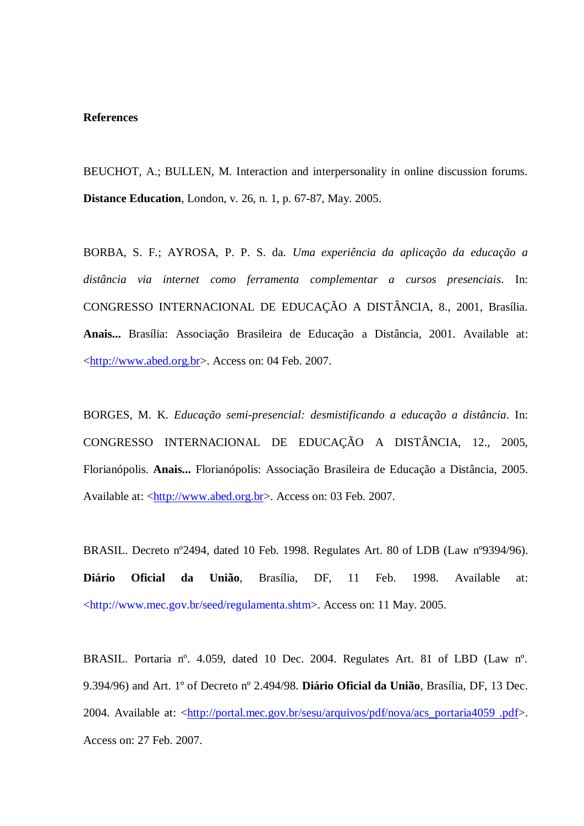#### **References**

BEUCHOT, A.; BULLEN, M. Interaction and interpersonality in online discussion forums. **Distance Education**, London, v. 26, n. 1, p. 67-87, May. 2005.

BORBA, S. F.; AYROSA, P. P. S. da. *Uma experiência da aplicação da educação a distância via internet como ferramenta complementar a cursos presenciais*. In: CONGRESSO INTERNACIONAL DE EDUCAÇÃO A DISTÂNCIA, 8., 2001, Brasília. **Anais...** Brasília: Associação Brasileira de Educação a Distância, 2001. Available at: [<http://www.abed.org.br>](http://www.abed.org.br/). Access on: 04 Feb. 2007.

BORGES, M. K. *Educação semi-presencial: desmistificando a educação a distância*. In: CONGRESSO INTERNACIONAL DE EDUCAÇÃO A DISTÂNCIA, 12., 2005, Florianópolis. **Anais...** Florianópolis: Associação Brasileira de Educação a Distância, 2005. Available at: [<http://www.abed.org.br>](http://www.abed.org.br/). Access on: 03 Feb. 2007.

BRASIL. Decreto nº2494, dated 10 Feb. 1998. Regulates Art. 80 of LDB (Law nº9394/96). **Diário Oficial da União**, Brasília, DF, 11 Feb. 1998. Available at: [<http://www.mec.gov.br/seed/regulamenta.shtm>](http://www.mec.gov.br/seed/regulamenta.shtm). Access on: 11 May. 2005.

BRASIL. Portaria nº. 4.059, dated 10 Dec. 2004. Regulates Art. 81 of LBD (Law nº. 9.394/96) and Art. 1º of Decreto nº 2.494/98. **Diário Oficial da União**, Brasília, DF, 13 Dec. 2004. Available at: [<http://portal.mec.gov.br/sesu/arquivos/pdf/nova/acs\\_portaria4059 .pdf>](http://portal.mec.gov.br/sesu/arquivos/pdf/nova/acs_portaria4059%20.pdf). Access on: 27 Feb. 2007.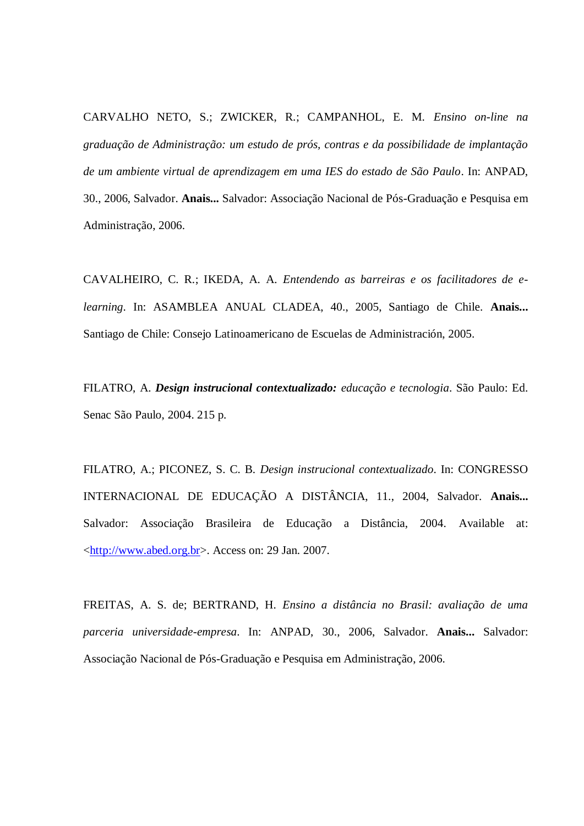CARVALHO NETO, S.; ZWICKER, R.; CAMPANHOL, E. M. *Ensino on-line na graduação de Administração: um estudo de prós, contras e da possibilidade de implantação de um ambiente virtual de aprendizagem em uma IES do estado de São Paulo*. In: ANPAD, 30., 2006, Salvador. **Anais...** Salvador: Associação Nacional de Pós-Graduação e Pesquisa em Administração, 2006.

CAVALHEIRO, C. R.; IKEDA, A. A. *Entendendo as barreiras e os facilitadores de elearning*. In: ASAMBLEA ANUAL CLADEA, 40., 2005, Santiago de Chile. **Anais...** Santiago de Chile: Consejo Latinoamericano de Escuelas de Administración, 2005.

FILATRO, A. *Design instrucional contextualizado: educação e tecnologia*. São Paulo: Ed. Senac São Paulo, 2004. 215 p.

FILATRO, A.; PICONEZ, S. C. B. *Design instrucional contextualizado*. In: CONGRESSO INTERNACIONAL DE EDUCAÇÃO A DISTÂNCIA, 11., 2004, Salvador. **Anais...** Salvador: Associação Brasileira de Educação a Distância, 2004. Available at: [<http://www.abed.org.br>](http://www.abed.org.br/). Access on: 29 Jan. 2007.

FREITAS, A. S. de; BERTRAND, H. *Ensino a distância no Brasil: avaliação de uma parceria universidade-empresa*. In: ANPAD, 30., 2006, Salvador. **Anais...** Salvador: Associação Nacional de Pós-Graduação e Pesquisa em Administração, 2006.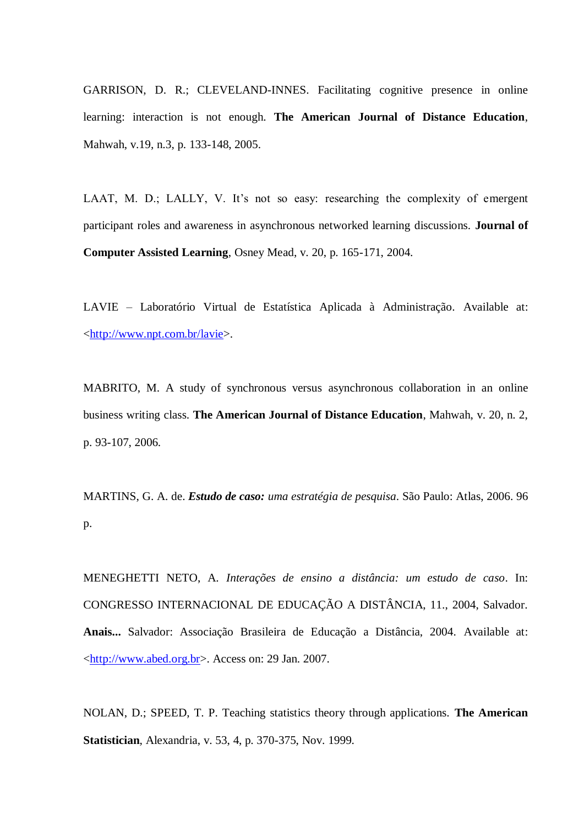GARRISON, D. R.; CLEVELAND-INNES. Facilitating cognitive presence in online learning: interaction is not enough. **The American Journal of Distance Education**, Mahwah, v.19, n.3, p. 133-148, 2005.

LAAT, M. D.; LALLY, V. It's not so easy: researching the complexity of emergent participant roles and awareness in asynchronous networked learning discussions. **Journal of Computer Assisted Learning**, Osney Mead, v. 20, p. 165-171, 2004.

LAVIE – Laboratório Virtual de Estatística Aplicada à Administração. Available at: [<http://www.npt.com.br/lavie>](http://www.npt.com.br/lavie).

MABRITO, M. A study of synchronous versus asynchronous collaboration in an online business writing class. **The American Journal of Distance Education**, Mahwah, v. 20, n. 2, p. 93-107, 2006.

MARTINS, G. A. de. *Estudo de caso: uma estratégia de pesquisa*. São Paulo: Atlas, 2006. 96 p.

MENEGHETTI NETO, A. *Interações de ensino a distância: um estudo de caso*. In: CONGRESSO INTERNACIONAL DE EDUCAÇÃO A DISTÂNCIA, 11., 2004, Salvador. **Anais...** Salvador: Associação Brasileira de Educação a Distância, 2004. Available at: [<http://www.abed.org.br>](http://www.abed.org.br/). Access on: 29 Jan. 2007.

NOLAN, D.; SPEED, T. P. Teaching statistics theory through applications. **The American Statistician**, Alexandria, v. 53, 4, p. 370-375, Nov. 1999.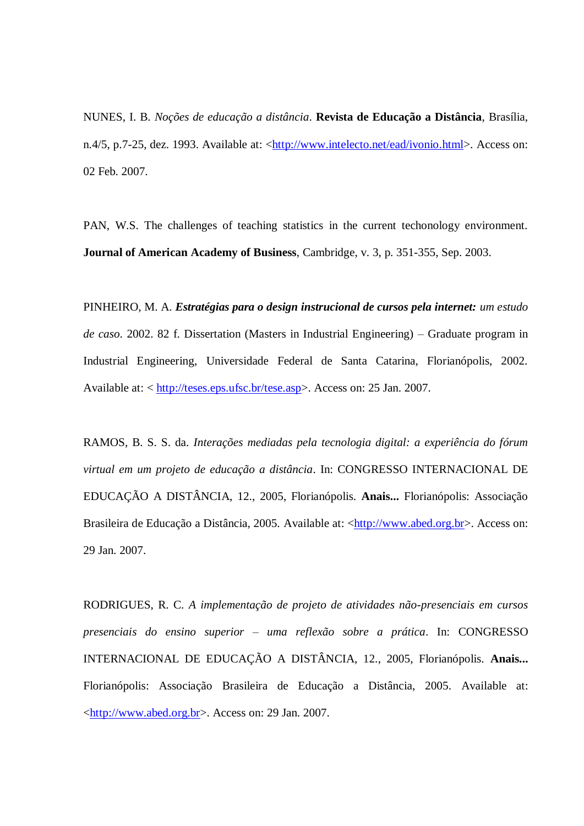NUNES, I. B. *Noções de educação a distância*. **Revista de Educação a Distância**, Brasília, n.4/5, p.7-25, dez. 1993. Available at: [<http://www.intelecto.net/ead/ivonio.html>](http://www.intelecto.net/ead/ivonio.html). Access on: 02 Feb. 2007.

PAN, W.S. The challenges of teaching statistics in the current techonology environment. **Journal of American Academy of Business**, Cambridge, v. 3, p. 351-355, Sep. 2003.

PINHEIRO, M. A. *Estratégias para o design instrucional de cursos pela internet: um estudo de caso*. 2002. 82 f. Dissertation (Masters in Industrial Engineering) – Graduate program in Industrial Engineering, Universidade Federal de Santa Catarina, Florianópolis, 2002. Available at: < [http://teses.eps.ufsc.br/tese.asp>](http://teses.eps.ufsc.br/tese.asp). Access on: 25 Jan. 2007.

RAMOS, B. S. S. da. *Interações mediadas pela tecnologia digital: a experiência do fórum virtual em um projeto de educação a distância*. In: CONGRESSO INTERNACIONAL DE EDUCAÇÃO A DISTÂNCIA, 12., 2005, Florianópolis. **Anais...** Florianópolis: Associação Brasileira de Educação a Distância, 2005. Available at: [<http://www.abed.org.br>](http://www.abed.org.br/). Access on: 29 Jan. 2007.

RODRIGUES, R. C. *A implementação de projeto de atividades não-presenciais em cursos presenciais do ensino superior – uma reflexão sobre a prática*. In: CONGRESSO INTERNACIONAL DE EDUCAÇÃO A DISTÂNCIA, 12., 2005, Florianópolis. **Anais...** Florianópolis: Associação Brasileira de Educação a Distância, 2005. Available at: [<http://www.abed.org.br>](http://www.abed.org.br/). Access on: 29 Jan. 2007.